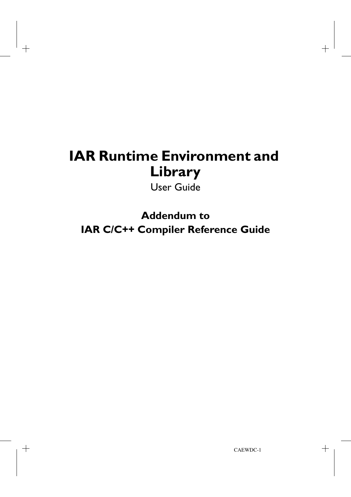# **IAR Runtime Environment and Library**

User Guide

**Addendum to IAR C/C++ Compiler Reference Guide**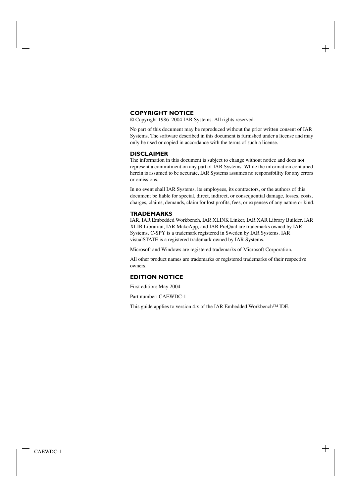## **COPYRIGHT NOTICE**

© Copyright 1986–2004 IAR Systems. All rights reserved.

No part of this document may be reproduced without the prior written consent of IAR Systems. The software described in this document is furnished under a license and may only be used or copied in accordance with the terms of such a license.

#### **DISCLAIMER**

The information in this document is subject to change without notice and does not represent a commitment on any part of IAR Systems. While the information contained herein is assumed to be accurate, IAR Systems assumes no responsibility for any errors or omissions.

In no event shall IAR Systems, its employees, its contractors, or the authors of this document be liable for special, direct, indirect, or consequential damage, losses, costs, charges, claims, demands, claim for lost profits, fees, or expenses of any nature or kind.

#### **TRADEMARKS**

IAR, IAR Embedded Workbench, IAR XLINK Linker, IAR XAR Library Builder, IAR XLIB Librarian, IAR MakeApp, and IAR PreQual are trademarks owned by IAR Systems. C-SPY is a trademark registered in Sweden by IAR Systems. IAR visualSTATE is a registered trademark owned by IAR Systems.

Microsoft and Windows are registered trademarks of Microsoft Corporation.

All other product names are trademarks or registered trademarks of their respective owners.

#### **EDITION NOTICE**

First edition: May 2004

Part number: CAEWDC-1

This guide applies to version 4.x of the IAR Embedded Workbench™ IDE.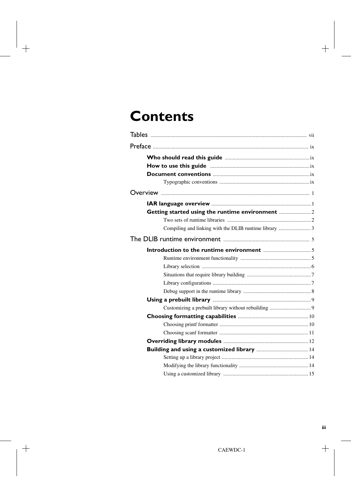# **Contents**

| Getting started using the runtime environment         |  |
|-------------------------------------------------------|--|
|                                                       |  |
| Compiling and linking with the DLIB runtime library 3 |  |
|                                                       |  |
|                                                       |  |
|                                                       |  |
|                                                       |  |
|                                                       |  |
|                                                       |  |
|                                                       |  |
|                                                       |  |
|                                                       |  |
|                                                       |  |
|                                                       |  |
|                                                       |  |
|                                                       |  |
|                                                       |  |
|                                                       |  |
|                                                       |  |
|                                                       |  |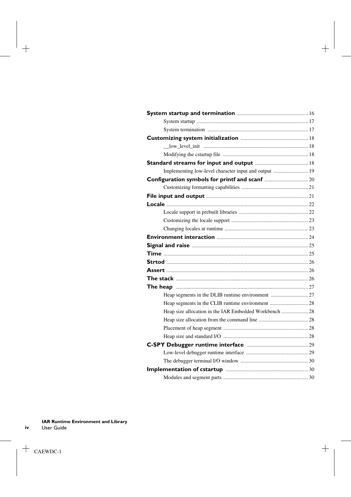| Implementing low-level character input and output  19  |  |
|--------------------------------------------------------|--|
|                                                        |  |
|                                                        |  |
|                                                        |  |
|                                                        |  |
|                                                        |  |
|                                                        |  |
|                                                        |  |
|                                                        |  |
|                                                        |  |
|                                                        |  |
|                                                        |  |
|                                                        |  |
|                                                        |  |
|                                                        |  |
|                                                        |  |
|                                                        |  |
| Heap size allocation in the IAR Embedded Workbench  28 |  |
|                                                        |  |
|                                                        |  |
|                                                        |  |
|                                                        |  |
|                                                        |  |
|                                                        |  |
|                                                        |  |
|                                                        |  |

iv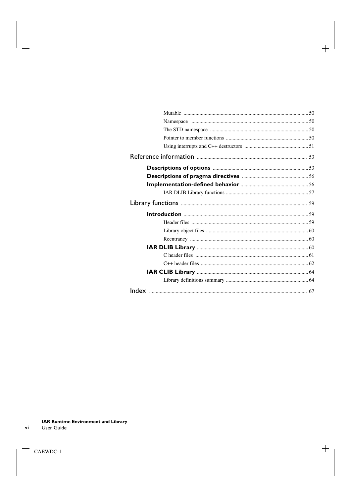vi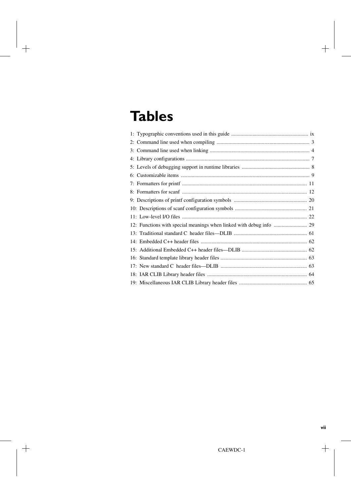# <span id="page-6-0"></span>**Tables**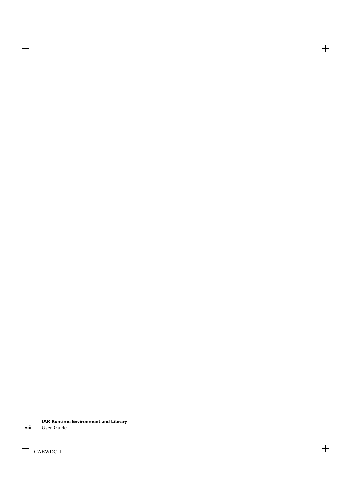**viii IAR Runtime Environment and Library** User Guide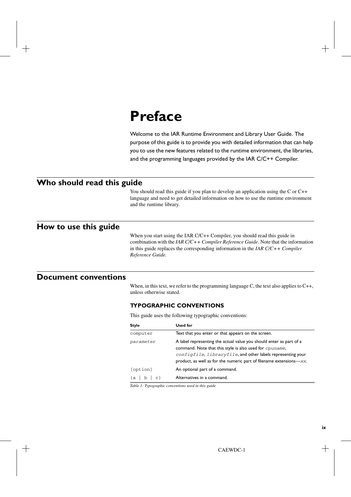# <span id="page-8-0"></span>**Preface**

Welcome to the IAR Runtime Environment and Library User Guide. The purpose of this guide is to provide you with detailed information that can help you to use the new features related to the runtime environment, the libraries, and the programming languages provided by the IAR C/C++ Compiler.

# <span id="page-8-1"></span>**Who should read this guide**

You should read this guide if you plan to develop an application using the C or C++ language and need to get detailed information on how to use the runtime environment and the runtime library.

## <span id="page-8-2"></span>**How to use this guide**

When you start using the IAR C/C++ Compiler, you should read this guide in combination with the *IAR C/C++ Compiler Reference Guide*. Note that the information in this guide replaces the corresponding information in the *IAR C/C++ Compiler Reference Guide.*

## <span id="page-8-3"></span>**Document conventions**

When, in this text, we refer to the programming language C, the text also applies to C++, unless otherwise stated.

## <span id="page-8-4"></span>**TYPOGRAPHIC CONVENTIONS**

This guide uses the following typographic conventions:

| <b>Style</b>                                                                                                                                                                                                                                                                                  | Used for                                           |
|-----------------------------------------------------------------------------------------------------------------------------------------------------------------------------------------------------------------------------------------------------------------------------------------------|----------------------------------------------------|
| computer                                                                                                                                                                                                                                                                                      | Text that you enter or that appears on the screen. |
| A label representing the actual value you should enter as part of a<br>parameter<br>command. Note that this style is also used for <i>cpuname</i> ,<br>configfile, libraryfile, and other labels representing your<br>product, as well as for the numeric part of filename extensions— $xx$ . |                                                    |
| [option]                                                                                                                                                                                                                                                                                      | An optional part of a command.                     |
| {a l<br>b<br>$\subset \}$                                                                                                                                                                                                                                                                     | Alternatives in a command.                         |

<span id="page-8-5"></span>*Table 1: Typographic conventions used in this guide*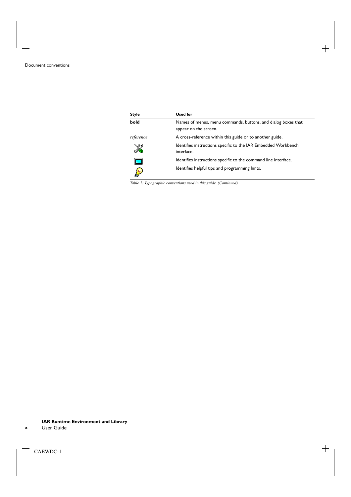| <b>Style</b> | <b>Used for</b>                                                                        |
|--------------|----------------------------------------------------------------------------------------|
| bold         | Names of menus, menu commands, buttons, and dialog boxes that<br>appear on the screen. |
| reference    | A cross-reference within this guide or to another guide.                               |
| X            | Identifies instructions specific to the IAR Embedded Workbench<br>interface.           |
|              | Identifies instructions specific to the command line interface.                        |
| 罗            | Identifies helpful tips and programming hints.                                         |

*Table 1: Typographic conventions used in this guide (Continued)*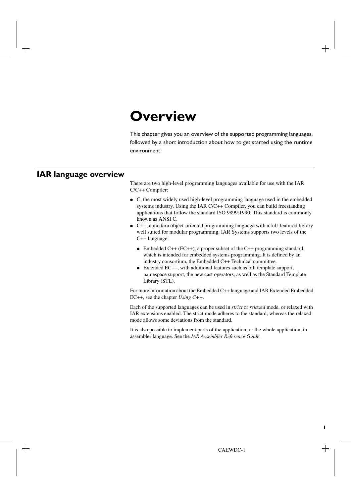# <span id="page-10-0"></span>**Overview**

This chapter gives you an overview of the supported programming languages, followed by a short introduction about how to get started using the runtime environment.

## <span id="page-10-1"></span>**IAR language overview**

There are two high-level programming languages available for use with the IAR C/C++ Compiler:

- C, the most widely used high-level programming language used in the embedded systems industry. Using the IAR C/C++ Compiler, you can build freestanding applications that follow the standard ISO 9899:1990. This standard is commonly known as ANSI C.
- C++, a modern object-oriented programming language with a full-featured library well suited for modular programming. IAR Systems supports two levels of the C++ language:
	- Embedded C++ (EC++), a proper subset of the C++ programming standard, which is intended for embedded systems programming. It is defined by an industry consortium, the Embedded C++ Technical committee.
	- Extended EC++, with additional features such as full template support, namespace support, the new cast operators, as well as the Standard Template Library (STL).

For more information about the Embedded C++ language and IAR Extended Embedded EC++, see the chapter *[Using C++](#page-50-3)*.

Each of the supported languages can be used in *strict* or *relaxed* mode, or relaxed with IAR extensions enabled. The strict mode adheres to the standard, whereas the relaxed mode allows some deviations from the standard.

It is also possible to implement parts of the application, or the whole application, in assembler language. See the *IAR Assembler Reference Guide*.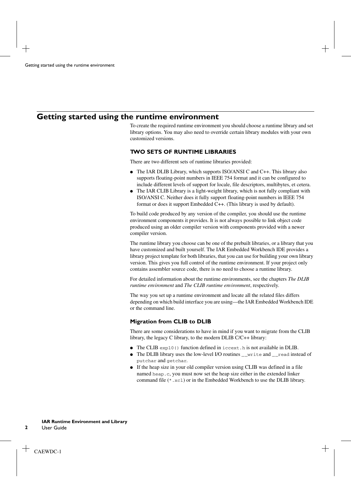## <span id="page-11-0"></span>**Getting started using the runtime environment**

To create the required runtime environment you should choose a runtime library and set library options. You may also need to override certain library modules with your own customized versions.

## <span id="page-11-1"></span>**TWO SETS OF RUNTIME LIBRARIES**

There are two different sets of runtime libraries provided:

- The IAR DLIB Library, which supports ISO/ANSI C and C++. This library also supports floating-point numbers in IEEE 754 format and it can be configured to include different levels of support for locale, file descriptors, multibytes, et cetera.
- The IAR CLIB Library is a light-weight library, which is not fully compliant with ISO/ANSI C. Neither does it fully support floating-point numbers in IEEE 754 format or does it support Embedded C++. (This library is used by default).

To build code produced by any version of the compiler, you should use the runtime environment components it provides. It is not always possible to link object code produced using an older compiler version with components provided with a newer compiler version.

The runtime library you choose can be one of the prebuilt libraries, or a library that you have customized and built yourself. The IAR Embedded Workbench IDE provides a library project template for both libraries, that you can use for building your own library version. This gives you full control of the runtime environment. If your project only contains assembler source code, there is no need to choose a runtime library.

For detailed information about the runtime environments, see the chapters *[The DLIB](#page-14-3)  [runtime environment](#page-14-3)* and *[The CLIB runtime environment](#page-44-2)*, respectively.

The way you set up a runtime environment and locate all the related files differs depending on which build interface you are using—the IAR Embedded Workbench IDE or the command line.

## **Migration from CLIB to DLIB**

There are some considerations to have in mind if you want to migrate from the CLIB library, the legacy C library, to the modern DLIB C/C++ library:

- The CLIB exp10() function defined in iccext.h is not available in DLIB.
- The DLIB library uses the low-level I/O routines \_\_write and \_\_read instead of putchar and getchar.
- If the heap size in your old compiler version using CLIB was defined in a file named heap.c, you must now set the heap size either in the extended linker command file (\*.xcl) or in the Embedded Workbench to use the DLIB library.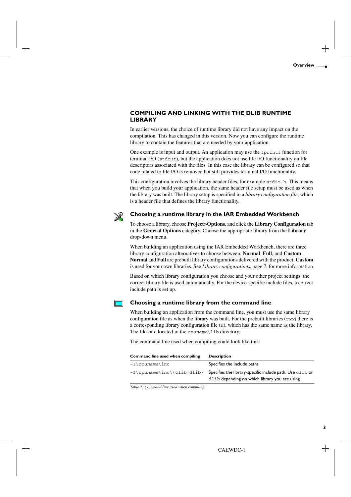## <span id="page-12-0"></span>**COMPILING AND LINKING WITH THE DLIB RUNTIME LIBRARY**

In earlier versions, the choice of runtime library did not have any impact on the compilation. This has changed in this version. Now you can configure the runtime library to contain the features that are needed by your application.

One example is input and output. An application may use the  $f$  function for terminal I/O (stdout), but the application does not use file I/O functionality on file descriptors associated with the files. In this case the library can be configured so that code related to file I/O is removed but still provides terminal I/O functionality.

This configuration involves the library header files, for example stdio.h. This means that when you build your application, the same header file setup must be used as when the library was built. The library setup is specified in a *library configuration file*, which is a header file that defines the library functionality.



### **Choosing a runtime library in the IAR Embedded Workbench**

To choose a library, choose **Project>Options**, and click the **Library Configuration** tab in the **General Options** category. Choose the appropriate library from the **Library** drop-down menu.

When building an application using the IAR Embedded Workbench, there are three library configuration alternatives to choose between: **Normal**, **Full**, and **Custom**. **Normal** and **Full** are prebuilt library configurations delivered with the product. **Custom** is used for your own libraries. See *[Library configurations](#page-16-3)*, page 7, for more information.

Based on which library configuration you choose and your other project settings, the correct library file is used automatically. For the device-specific include files, a correct include path is set up.



#### **Choosing a runtime library from the command line**

When building an application from the command line, you must use the same library configuration file as when the library was built. For the prebuilt libraries ( $rxx$ ) there is a corresponding library configuration file (h), which has the same name as the library. The files are located in the *cpuname*\lib directory.

The command line used when compiling could look like this:

| Command line used when compiling                 | <b>Description</b>                                                                                           |
|--------------------------------------------------|--------------------------------------------------------------------------------------------------------------|
| $-I\cap \mathbb{Z}$                              | Specifies the include paths                                                                                  |
| $-I\cup \text{puname}\inc\cdot \cclib\cdot dlib$ | Specifies the library-specific include path. Use $c1$ ib or<br>dlib depending on which library you are using |

<span id="page-12-1"></span>*Table 2: Command line used when compiling*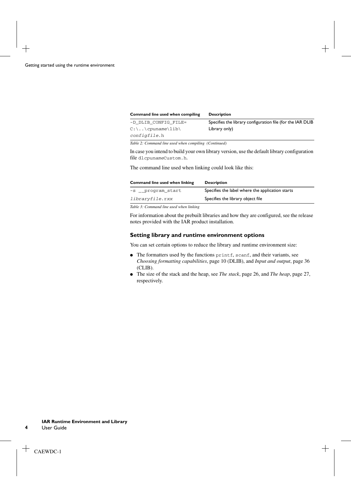| <b>Description</b>                                         |
|------------------------------------------------------------|
| Specifies the library configuration file (for the IAR DLIB |
| Library only)                                              |
|                                                            |
|                                                            |

*Table 2: Command line used when compiling (Continued)*

In case you intend to build your own library version, use the default library configuration file dl*cpuname*Custom.h.

The command line used when linking could look like this:

#### **Command line used when linking Description**

| -s __program_start     | Specifies the label where the application starts |
|------------------------|--------------------------------------------------|
| <i>libraryfile.rxx</i> | Specifies the library object file                |
|                        |                                                  |

<span id="page-13-0"></span>*Table 3: Command line used when linking* 

For information about the prebuilt libraries and how they are configured, see the release notes provided with the IAR product installation.

#### **Setting library and runtime environment options**

You can set certain options to reduce the library and runtime environment size:

- The formatters used by the functions printf, scanf, and their variants, see *[Choosing formatting capabilities](#page-19-2)*, page 10 (DLIB), and *[Input and output](#page-45-2)*, page 36 (CLIB).
- The size of the stack and the heap, see *[The stack](#page-35-3)*, page 26, and *[The heap](#page-36-2)*, page 27, respectively.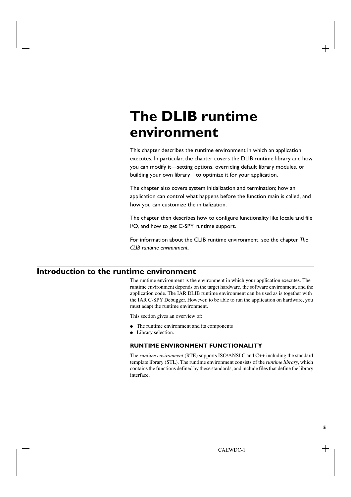# <span id="page-14-3"></span><span id="page-14-0"></span>**The DLIB runtime environment**

This chapter describes the runtime environment in which an application executes. In particular, the chapter covers the DLIB runtime library and how you can modify it—setting options, overriding default library modules, or building your own library—to optimize it for your application.

The chapter also covers system initialization and termination; how an application can control what happens before the function main is called, and how you can customize the initialization.

The chapter then describes how to configure functionality like locale and file I/O, and how to get C-SPY runtime support.

For information about the CLIB runtime environment, see the chapter *[The](#page-44-2)  [CLIB runtime environment](#page-44-2)*.

## <span id="page-14-1"></span>**Introduction to the runtime environment**

The runtime environment is the environment in which your application executes. The runtime environment depends on the target hardware, the software environment, and the application code. The IAR DLIB runtime environment can be used as is together with the IAR C-SPY Debugger. However, to be able to run the application on hardware, you must adapt the runtime environment.

This section gives an overview of:

- The runtime environment and its components
- Library selection.

## <span id="page-14-2"></span>**RUNTIME ENVIRONMENT FUNCTIONALITY**

The *runtime environment* (RTE) supports ISO/ANSI C and C++ including the standard template library (STL). The runtime environment consists of the *runtime library*, which contains the functions defined by these standards, and include files that define the library interface.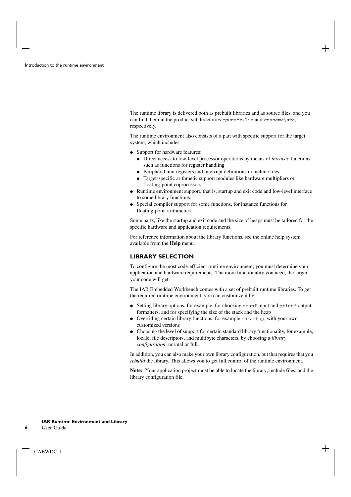The runtime library is delivered both as prebuilt libraries and as source files, and you can find them in the product subdirectories *cpuname*\lib and *cpuname*\src, respectively.

The runtime environment also consists of a part with specific support for the target system, which includes:

- Support for hardware features:
	- Direct access to low-level processor operations by means of *intrinsic* functions, such as functions for register handling
	- Peripheral unit registers and interrupt definitions in include files
	- Target-specific arithmetic support modules like hardware multipliers or floating-point coprocessors.
- Runtime environment support, that is, startup and exit code and low-level interface to some library functions.
- Special compiler support for some functions, for instance functions for floating-point arithmetics

Some parts, like the startup and exit code and the size of heaps must be tailored for the specific hardware and application requirements.

For reference information about the library functions, see the online help system available from the **Help** menu.

## <span id="page-15-0"></span>**LIBRARY SELECTION**

To configure the most code-efficient runtime environment, you must determine your application and hardware requirements. The more functionality you need, the larger your code will get.

The IAR Embedded Workbench comes with a set of prebuilt runtime libraries. To get the required runtime environment, you can customize it by:

- Setting library options, for example, for choosing scanf input and printf output formatters, and for specifying the size of the stack and the heap
- Overriding certain library functions, for example cstartup, with your own customized versions
- Choosing the level of support for certain standard library functionality, for example, locale, file descriptors, and multibyte characters, by choosing a *library configuration*: normal or full.

In addition, you can also make your own library configuration, but that requires that you *rebuild* the library. This allows you to get full control of the runtime environment.

**Note:** Your application project must be able to locate the library, include files, and the library configuration file.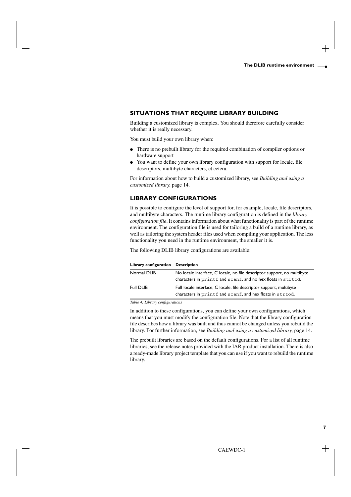### <span id="page-16-0"></span>**SITUATIONS THAT REQUIRE LIBRARY BUILDING**

Building a customized library is complex. You should therefore carefully consider whether it is really necessary.

You must build your own library when:

- There is no prebuilt library for the required combination of compiler options or hardware support
- You want to define your own library configuration with support for locale, file descriptors, multibyte characters, et cetera.

For information about how to build a customized library, see *[Building and using a](#page-23-0)  [customized library](#page-23-0)*, page 14.

#### <span id="page-16-3"></span><span id="page-16-1"></span>**LIBRARY CONFIGURATIONS**

It is possible to configure the level of support for, for example, locale, file descriptors, and multibyte characters. The runtime library configuration is defined in the *library configuration file*. It contains information about what functionality is part of the runtime environment. The configuration file is used for tailoring a build of a runtime library, as well as tailoring the system header files used when compiling your application. The less functionality you need in the runtime environment, the smaller it is.

The following DLIB library configurations are available:

| Library configuration | <b>Description</b> |
|-----------------------|--------------------|
|-----------------------|--------------------|

| No locale interface, C locale, no file descriptor support, no multibyte |
|-------------------------------------------------------------------------|
| characters in printf and scanf, and no hex floats in strtod.            |
| Full locale interface, C locale, file descriptor support, multibyte     |
| characters in printf and scanf, and hex floats in strtod.               |
|                                                                         |

<span id="page-16-2"></span>*Table 4: Library configurations* 

In addition to these configurations, you can define your own configurations, which means that you must modify the configuration file. Note that the library configuration file describes how a library was built and thus cannot be changed unless you rebuild the library. For further information, see *[Building and using a customized library](#page-23-0)*, page 14.

The prebuilt libraries are based on the default configurations. For a list of all runtime libraries, see the release notes provided with the IAR product installation. There is also a ready-made library project template that you can use if you want to rebuild the runtime library.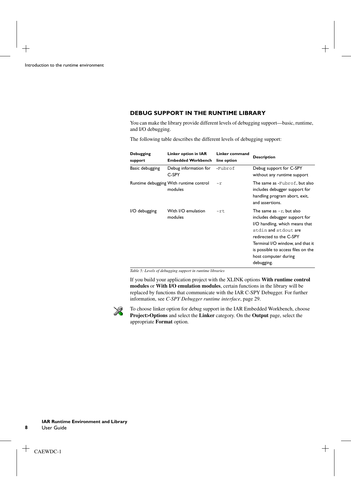## <span id="page-17-0"></span>**DEBUG SUPPORT IN THE RUNTIME LIBRARY**

You can make the library provide different levels of debugging support—basic, runtime, and I/O debugging.

The following table describes the different levels of debugging support:

| <b>Debugging</b><br>support | <b>Linker option in IAR</b><br><b>Embedded Workbench</b> | Linker command<br>line option | <b>Description</b>                                                                                                                                                                                                                                                |
|-----------------------------|----------------------------------------------------------|-------------------------------|-------------------------------------------------------------------------------------------------------------------------------------------------------------------------------------------------------------------------------------------------------------------|
| Basic debugging             | Debug information for<br>C-SPY                           | -Fubrof                       | Debug support for C-SPY<br>without any runtime support                                                                                                                                                                                                            |
|                             | Runtime debugging With runtime control<br>modules        | $-r$                          | The same as -Fubrof, but also<br>includes debugger support for<br>handling program abort, exit,<br>and assertions.                                                                                                                                                |
| I/O debugging               | With I/O emulation<br>modules                            | -rt.                          | The same as $-r$ , but also<br>includes debugger support for<br>I/O handling, which means that<br>stdin and stdout are<br>redirected to the C-SPY<br>Terminal I/O window, and that it<br>is possible to access files on the<br>host computer during<br>debugging. |

<span id="page-17-1"></span>*Table 5: Levels of debugging support in runtime libraries*

If you build your application project with the XLINK options **With runtime control modules** or **With I/O emulation modules**, certain functions in the library will be replaced by functions that communicate with the IAR C-SPY Debugger. For further information, see *[C-SPY Debugger runtime interface](#page-38-0)*, page 29.



To choose linker option for debug support in the IAR Embedded Workbench, choose **Project>Options** and select the **Linker** category. On the **Output** page, select the appropriate **Format** option.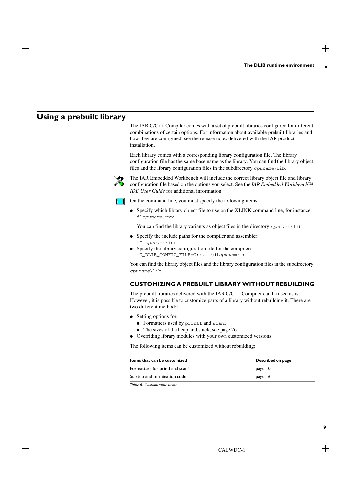## <span id="page-18-0"></span>**Using a prebuilt library**

The IAR C/C++ Compiler comes with a set of prebuilt libraries configured for different combinations of certain options. For information about available prebuilt libraries and how they are configured, see the release notes delivered with the IAR product installation.

Each library comes with a corresponding library configuration file. The library configuration file has the same base name as the library. You can find the library object files and the library configuration files in the subdirectory *cpuname*\lib.



The IAR Embedded Workbench will include the correct library object file and library configuration file based on the options you select. See the *IAR Embedded Workbench™ IDE User Guide* for additional information.



On the command line, you must specify the following items:

● Specify which library object file to use on the XLINK command line, for instance: dl*cpuname*.r*xx*

You can find the library variants as object files in the directory *cpuname*\lib.

- Specify the include paths for the compiler and assembler: -I *cpuname*\inc
- Specify the library configuration file for the compiler: -D\_DLIB\_CONFIG\_FILE=C:\...\dl*cpuname*.h

You can find the library object files and the library configuration files in the subdirectory *cpuname*\lib.

## <span id="page-18-1"></span>**CUSTOMIZING A PREBUILT LIBRARY WITHOUT REBUILDING**

The prebuilt libraries delivered with the IAR C/C++ Compiler can be used as is. However, it is possible to customize parts of a library without rebuilding it. There are two different methods:

- Setting options for:
	- Formatters used by printf and scanf
	- The sizes of the heap and stack, see [page 26](#page-35-2).
- Overriding library modules with your own customized versions.

The following items can be customized without rebuilding:

| Items that can be customized                            | Described on page |  |
|---------------------------------------------------------|-------------------|--|
| Formatters for printf and scanf                         | page 10           |  |
| Startup and termination code                            | page 16           |  |
| $\sim$ $\sim$ $\sim$ $\sim$ $\sim$ $\sim$ $\sim$ $\sim$ |                   |  |

<span id="page-18-2"></span>*Table 6: Customizable items*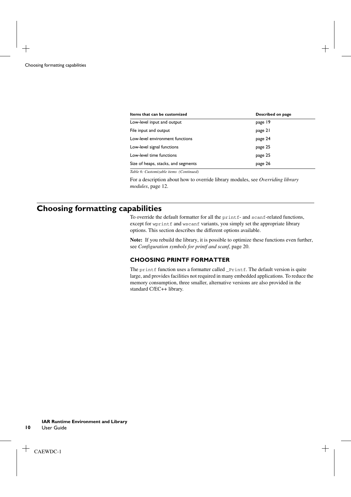| Items that can be customized        | Described on page |
|-------------------------------------|-------------------|
| Low-level input and output          | page 19           |
| File input and output               | page 21           |
| Low-level environment functions     | page 24           |
| Low-level signal functions          | page 25           |
| Low-level time functions            | page 25           |
| Size of heaps, stacks, and segments | page 26           |

*Table 6: Customizable items (Continued)*

For a description about how to override library modules, see *[Overriding library](#page-21-0)  modules*[, page 12](#page-21-0).

# <span id="page-19-2"></span><span id="page-19-0"></span>**Choosing formatting capabilities**

<span id="page-19-3"></span>To override the default formatter for all the printf- and scanf-related functions, except for wprintf and wscanf variants, you simply set the appropriate library options. This section describes the different options available.

**Note:** If you rebuild the library, it is possible to optimize these functions even further, see *[Configuration symbols for printf and scanf](#page-29-0)*, page 20.

## <span id="page-19-1"></span>**CHOOSING PRINTF FORMATTER**

The printf function uses a formatter called  $_P$ rintf. The default version is quite large, and provides facilities not required in many embedded applications. To reduce the memory consumption, three smaller, alternative versions are also provided in the standard C/EC++ library.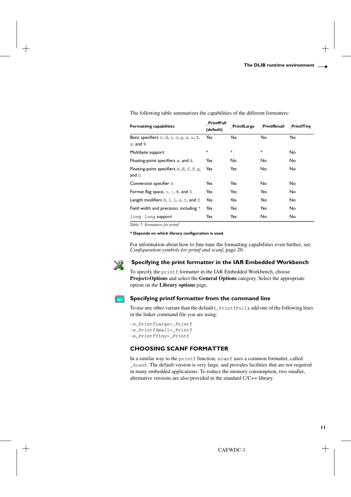| <b>Formatting capabilities</b>                                         | PrintfFull<br>(default) | PrintfLarge | PrintfSmall | PrintfTiny |
|------------------------------------------------------------------------|-------------------------|-------------|-------------|------------|
| Basic specifiers $c, d, i, o, p, s, u, X$ ,<br>$x$ , and $\frac{8}{3}$ | Yes                     | Yes         | Yes         | Yes        |
| Multibyte support                                                      | *                       | *           | $\ast$      | No         |
| Floating-point specifiers $a$ , and $A$                                | Yes                     | No.         | No.         | No.        |
| Floating-point specifiers $e$ , E, f, F, g,<br>and $G$                 | Yes                     | Yes         | No.         | No.        |
| Conversion specifier n                                                 | Yes                     | Yes         | No.         | No.        |
| Format flag space, $+, -, #$ , and 0                                   | Yes.                    | Yes         | Yes         | No.        |
| Length modifiers h, 1, L, s, t, and Z                                  | Yes.                    | Yes         | Yes         | No.        |
| Field width and precision, including *                                 | Yes                     | Yes         | Yes         | No.        |
| long long support                                                      | Yes                     | Yes         | No          | No         |

The following table summarizes the capabilities of the different formatters:

<span id="page-20-1"></span>*Table 7: Formatters for printf* 

**\* Depends on which library configuration is used.**

For information about how to fine-tune the formatting capabilities even further, see *[Configuration symbols for printf and scanf](#page-29-0)*, page 20.



#### **Specifying the print formatter in the IAR Embedded Workbench**

To specify the printf formatter in the IAR Embedded Workbench, choose **Project>Options** and select the **General Options** category. Select the appropriate option on the **Library options** page.



#### **Specifying printf formatter from the command line**

To use any other variant than the default  $(PerintfFull)$ , add one of the following lines in the linker command file you are using:

-e\_PrintfLarge=\_Printf -e\_PrintfSmall=\_Printf -e\_PrintfTiny=\_Printf

#### <span id="page-20-0"></span>**CHOOSING SCANF FORMATTER**

In a similar way to the printf function, scanf uses a common formatter, called \_Scanf. The default version is very large, and provides facilities that are not required in many embedded applications. To reduce the memory consumption, two smaller, alternative versions are also provided in the standard C/C++ library.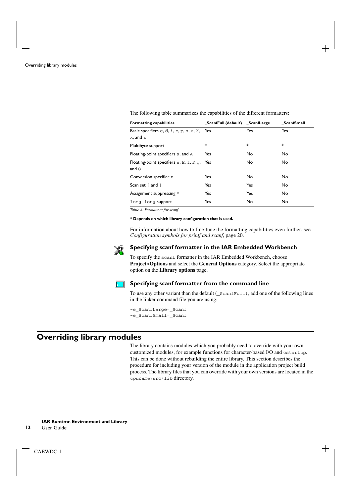The following table summarizes the capabilities of the different formatters:

| <b>Formatting capabilities</b>                         | ScanfFull (default) ScanfLarge |        | ScanfSmall |
|--------------------------------------------------------|--------------------------------|--------|------------|
| Basic specifiers $c, d, i, o, p, s, u, X$ ,            | Yes                            | Yes    | <b>Yes</b> |
| $x$ , and $\frac{6}{3}$                                |                                |        |            |
| Multibyte support                                      | $\ast$                         | $\ast$ | $\ast$     |
| Floating-point specifiers $a$ , and $A$                | Yes                            | No     | No.        |
| Floating-point specifiers $e, E, f, F, g$ ,<br>and $G$ | Yes                            | No.    | No.        |
|                                                        |                                |        |            |
| Conversion specifier n                                 | Yes                            | No.    | No         |
| Scan set $\lceil$ and $\lceil$                         | Yes                            | Yes    | No.        |
| Assignment suppressing *                               | Yes                            | Yes    | No         |
| long long support                                      | Yes                            | No     | No         |

<span id="page-21-1"></span>*Table 8: Formatters for scanf* 

**\* Depends on which library configuration that is used.**

For information about how to fine-tune the formatting capabilities even further, see *[Configuration symbols for printf and scanf](#page-29-0)*, page 20.



#### **Specifying scanf formatter in the IAR Embedded Workbench**

To specify the scanf formatter in the IAR Embedded Workbench, choose **Project>Options** and select the **General Options** category. Select the appropriate option on the **Library options** page.



#### **Specifying scanf formatter from the command line**

To use any other variant than the default (\_ScanfFull), add one of the following lines in the linker command file you are using:

```
-e_ScanfLarge=_Scanf
-e_ScanfSmall=_Scanf
```
## <span id="page-21-0"></span>**Overriding library modules**

The library contains modules which you probably need to override with your own customized modules, for example functions for character-based I/O and cstartup. This can be done without rebuilding the entire library. This section describes the procedure for including your version of the module in the application project build process. The library files that you can override with your own versions are located in the *cpuname*\src\lib directory.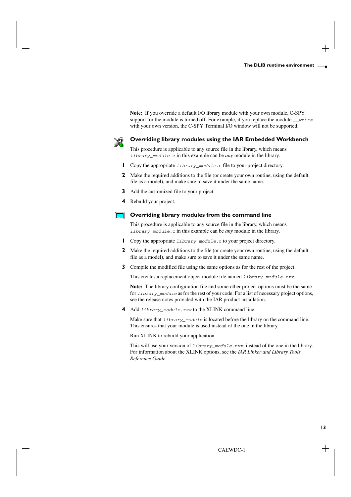**Note:** If you override a default I/O library module with your own module, C-SPY support for the module is turned off. For example, if you replace the module  $\sqrt{w}$  write with your own version, the C-SPY Terminal I/O window will not be supported.



#### **Overriding library modules using the IAR Embedded Workbench**

This procedure is applicable to any source file in the library, which means *library\_module*.c in this example can be *any* module in the library.

- **1** Copy the appropriate *library\_module*.c file to your project directory.
- **2** Make the required additions to the file (or create your own routine, using the default file as a model), and make sure to save it under the same name.
- **3** Add the customized file to your project.
- **4** Rebuild your project.

#### **Overriding library modules from the command line**

This procedure is applicable to any source file in the library, which means *library\_module*.c in this example can be *any* module in the library.

- **1** Copy the appropriate *library\_module*.c to your project directory.
- **2** Make the required additions to the file (or create your own routine, using the default file as a model), and make sure to save it under the same name.
- **3** Compile the modified file using the same options as for the rest of the project.

This creates a replacement object module file named *library\_module*.r*xx*.

**Note:** The library configuration file and some other project options must be the same for *library\_module* as for the rest of your code. For a list of necessary project options, see the release notes provided with the IAR product installation.

**4** Add *library\_module*.r*xx* to the XLINK command line.

Make sure that *library\_module* is located before the library on the command line. This ensures that your module is used instead of the one in the library.

Run XLINK to rebuild your application.

This will use your version of *library\_module*.r*xx*, instead of the one in the library. For information about the XLINK options, see the *IAR Linker and Library Tools Reference Guide*.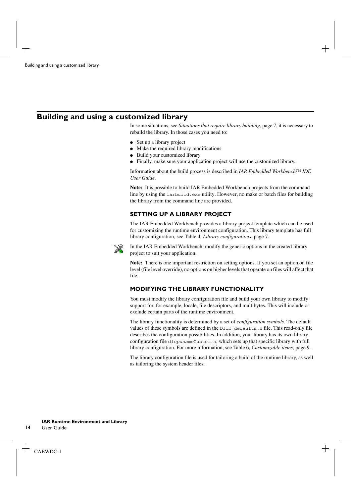## <span id="page-23-0"></span>**Building and using a customized library**

In some situations, see *[Situations that require library building](#page-16-0)*, page 7, it is necessary to rebuild the library. In those cases you need to:

- Set up a library project
- Make the required library modifications
- Build your customized library
- Finally, make sure your application project will use the customized library.

Information about the build process is described in *IAR Embedded Workbench™ IDE User Guide*.

**Note:** It is possible to build IAR Embedded Workbench projects from the command line by using the  $i$ arbuild.exe utility. However, no make or batch files for building the library from the command line are provided.

## <span id="page-23-1"></span>**SETTING UP A LIBRARY PROJECT**

The IAR Embedded Workbench provides a library project template which can be used for customizing the runtime environment configuration. This library template has full library configuration, see Table 4, *[Library configurations](#page-16-2)*, [page 7](#page-16-2).



In the IAR Embedded Workbench, modify the generic options in the created library project to suit your application.

**Note:** There is one important restriction on setting options. If you set an option on file level (file level override), no options on higher levels that operate on files will affect that file.

## <span id="page-23-2"></span>**MODIFYING THE LIBRARY FUNCTIONALITY**

You must modify the library configuration file and build your own library to modify support for, for example, locale, file descriptors, and multibytes. This will include or exclude certain parts of the runtime environment.

The library functionality is determined by a set of *configuration symbols*. The default values of these symbols are defined in the Dlib\_defaults.h file. This read-only file describes the configuration possibilities. In addition, your library has its own library configuration file dl*cpuname*Custom.h, which sets up that specific library with full library configuration. For more information, see Table 6, *[Customizable items](#page-18-2)*, [page 9.](#page-18-2)

The library configuration file is used for tailoring a build of the runtime library, as well as tailoring the system header files.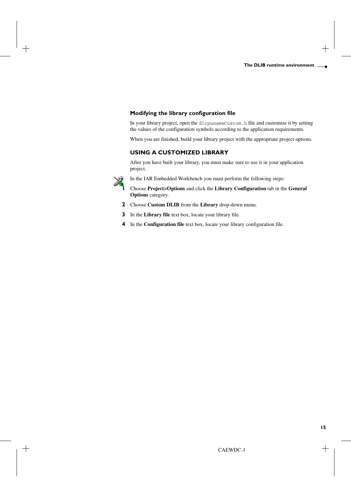## **Modifying the library configuration file**

In your library project, open the dl*cpuname*Custom.h file and customize it by setting the values of the configuration symbols according to the application requirements.

When you are finished, build your library project with the appropriate project options.

### <span id="page-24-0"></span>**USING A CUSTOMIZED LIBRARY**

After you have built your library, you must make sure to use it in your application project.



In the IAR Embedded Workbench you must perform the following steps:

**1** Choose **Project>Options** and click the **Library Configuration** tab in the **General Options** category.

- **2** Choose **Custom DLIB** from the **Library** drop-down menu.
- **3** In the **Library file** text box, locate your library file.
- **4** In the **Configuration file** text box, locate your library configuration file.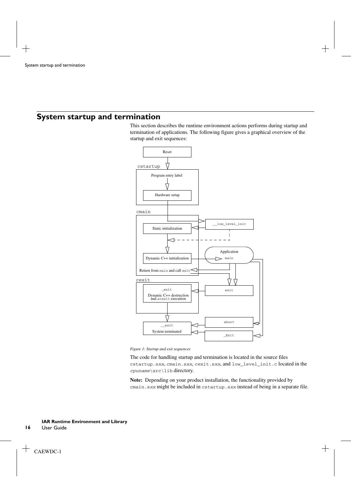# <span id="page-25-0"></span>**System startup and termination**

This section describes the runtime environment actions performs during startup and termination of applications. The following figure gives a graphical overview of the startup and exit sequences:



*Figure 1: Startup and exit sequences*

The code for handling startup and termination is located in the source files cstartup.s*xx*, cmain.s*xx*, cexit.s*xx*, and low\_level\_init.c located in the *cpuname*\src\lib directory.

**Note:** Depending on your product installation, the functionality provided by cmain.s*xx* might be included in cstartup.s*xx* instead of being in a separate file.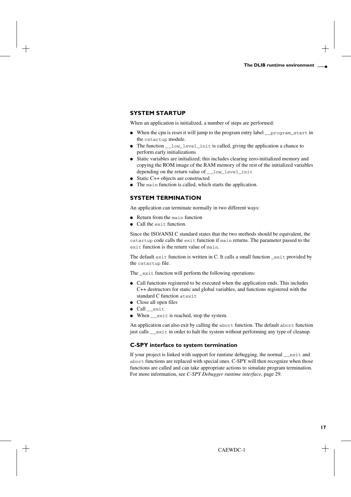## <span id="page-26-0"></span>**SYSTEM STARTUP**

When an application is initialized, a number of steps are performed:

- When the cpu is reset it will jump to the program entry label \_\_program\_start in the cstartup module.
- The function \_\_low\_level\_init is called, giving the application a chance to perform early initializations
- Static variables are initialized; this includes clearing zero-initialized memory and copying the ROM image of the RAM memory of the rest of the initialized variables depending on the return value of \_\_low\_level\_init
- Static C++ objects are constructed
- The main function is called, which starts the application.

### <span id="page-26-1"></span>**SYSTEM TERMINATION**

An application can terminate normally in two different ways:

- Return from the main function
- $\bullet$  Call the exit function.

Since the ISO/ANSI C standard states that the two methods should be equivalent, the cstartup code calls the exit function if main returns. The parameter passed to the exit function is the return value of main.

The default exit function is written in C. It calls a small function  $_{\text{exit}}$  provided by the cstartup file.

The \_exit function will perform the following operations:

- Call functions registered to be executed when the application ends. This includes C++ destructors for static and global variables, and functions registered with the standard C function atexit
- Close all open files
- Call \_\_exit
- $\bullet$  When  $\text{__exit}$  is reached, stop the system.

An application can also exit by calling the abort function. The default abort function just calls \_\_exit in order to halt the system without performing any type of cleanup.

### **C-SPY interface to system termination**

If your project is linked with support for runtime debugging, the normal \_\_exit and abort functions are replaced with special ones. C-SPY will then recognize when those functions are called and can take appropriate actions to simulate program termination. For more information, see *[C-SPY Debugger runtime interface](#page-38-0)*, page 29.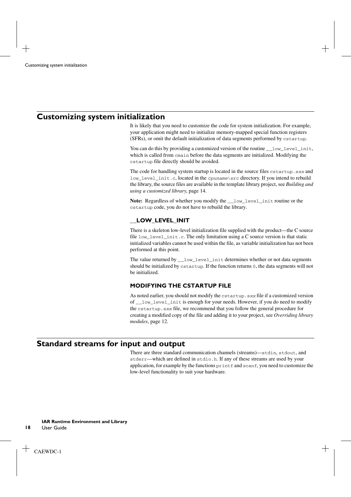# <span id="page-27-0"></span>**Customizing system initialization**

It is likely that you need to customize the code for system initialization. For example, your application might need to initialize memory-mapped special function registers (SFRs), or omit the default initialization of data segments performed by cstartup.

You can do this by providing a customized version of the routine  $\Box$  low level init, which is called from cmain before the data segments are initialized. Modifying the cstartup file directly should be avoided.

The code for handling system startup is located in the source files cstartup.s*xx* and low\_level\_init.c, located in the *cpuname*\src directory. If you intend to rebuild the library, the source files are available in the template library project, see *[Building and](#page-23-0)  [using a customized library](#page-23-0)*, page 14.

**Note:** Regardless of whether you modify the low level init routine or the cstartup code, you do not have to rebuild the library.

## <span id="page-27-1"></span>**\_\_LOW\_LEVEL\_INIT**

There is a skeleton low-level initialization file supplied with the product—the C source file  $low$  level init.c. The only limitation using a C source version is that static initialized variables cannot be used within the file, as variable initialization has not been performed at this point.

The value returned by \_\_1ow\_level\_init determines whether or not data segments should be initialized by cstartup. If the function returns 0, the data segments will not be initialized.

## <span id="page-27-2"></span>**MODIFYING THE CSTARTUP FILE**

As noted earlier, you should not modify the cstartup.s*xx* file if a customized version of \_\_low\_level\_init is enough for your needs. However, if you do need to modify the cstartup.s*xx* file, we recommend that you follow the general procedure for creating a modified copy of the file and adding it to your project, see *[Overriding library](#page-21-0)  modules*[, page 12](#page-21-0).

## <span id="page-27-3"></span>**Standard streams for input and output**

There are three standard communication channels (streams)—stdin, stdout, and stderr—which are defined in stdio.h. If any of these streams are used by your application, for example by the functions  $\text{print} f$  and  $\text{sean} f$ , you need to customize the low-level functionality to suit your hardware.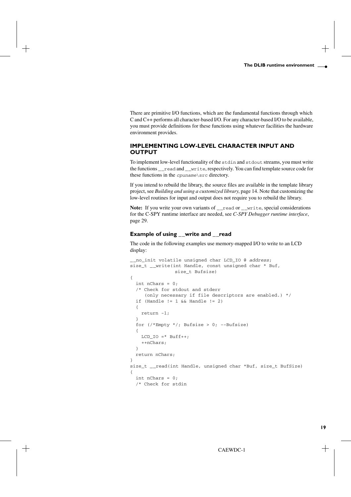There are primitive I/O functions, which are the fundamental functions through which C and C++ performs all character-based I/O. For any character-based I/O to be available, you must provide definitions for these functions using whatever facilities the hardware environment provides.

### <span id="page-28-0"></span>**IMPLEMENTING LOW-LEVEL CHARACTER INPUT AND OUTPUT**

To implement low-level functionality of the stdin and stdout streams, you must write the functions \_\_read and \_\_write, respectively. You can find template source code for these functions in the *cpuname*\src directory.

If you intend to rebuild the library, the source files are available in the template library project, see *[Building and using a customized library](#page-23-0)*, page 14. Note that customizing the low-level routines for input and output does not require you to rebuild the library.

Note: If you write your own variants of \_read or \_write, special considerations for the C-SPY runtime interface are needed, see *[C-SPY Debugger runtime interface](#page-38-0)*, [page 29.](#page-38-0)

### **Example of using \_\_write and \_\_read**

The code in the following examples use memory-mapped I/O to write to an LCD display:

```
__no_init volatile unsigned char LCD_IO @ address;
size_t __write(int Handle, const unsigned char * Buf, 
                   size_t Bufsize)
{
   int nChars = 0;
   /* Check for stdout and stderr 
       (only necessary if file descriptors are enabled.) */
  if (Handle != 1 && Handle != 2)
   {
     return -1;
   }
  for \left(\frac{\text{exp}(x)}{\text{exp}(x)}\right) = Bufsize = 0; --Bufsize)
  \sqrt{2}LCD\_IO = * Butff++; ++nChars;
   }
   return nChars;
}
size t    read(int Handle, unsigned char *Buf, size t BufSize)
{
   int nChars = 0;
   /* Check for stdin
```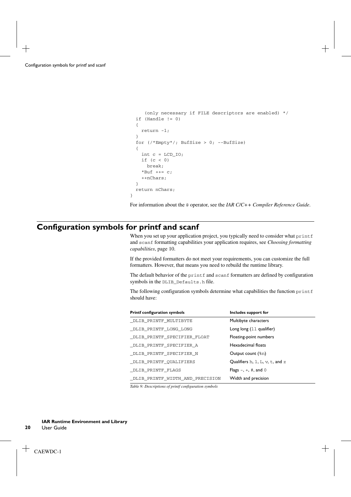```
 (only necessary if FILE descriptors are enabled) */
   if (Handle != 0)
   {
     return -1;
   }
  for \frac{\text{exp}(x)}{\text{exp}(x)}; BufSize > 0; --BufSize)
   {
    int c = LCDIO;if (c < 0) break;
    *Buf ++= c;
     ++nChars;
   }
   return nChars;
}
```
For information about the @ operator, see the *IAR C/C++ Compiler Reference Guide*.

## <span id="page-29-0"></span>**Configuration symbols for printf and scanf**

When you set up your application project, you typically need to consider what printf and scanf formatting capabilities your application requires, see *[Choosing formatting](#page-19-0)  [capabilities](#page-19-0)*, page 10.

If the provided formatters do not meet your requirements, you can customize the full formatters. However, that means you need to rebuild the runtime library.

The default behavior of the printf and scanf formatters are defined by configuration symbols in the DLIB\_Defaults.h file.

The following configuration symbols determine what capabilities the function printf should have:

| Includes support for                 |  |
|--------------------------------------|--|
| Multibyte characters                 |  |
| Long long $(11$ qualifier)           |  |
| Floating-point numbers               |  |
| Hexadecimal floats                   |  |
| Output count (%n)                    |  |
| Qualifiers h, $1, L, v, t$ , and $z$ |  |
| Flags $-$ , $+$ , $\#$ , and 0       |  |
| Width and precision                  |  |
|                                      |  |

<span id="page-29-1"></span>*Table 9: Descriptions of printf configuration symbols*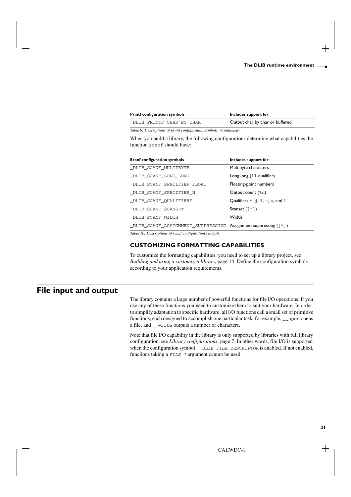| <b>Printf configuration symbols</b> | Includes support for            |  |
|-------------------------------------|---------------------------------|--|
| DLIB PRINTF CHAR BY CHAR            | Output char by char or buffered |  |

*Table 9: Descriptions of printf configuration symbols (Continued)*

When you build a library, the following configurations determine what capabilities the function scanf should have:

| Scanf configuration symbols                                     | Includes support for              |
|-----------------------------------------------------------------|-----------------------------------|
| _DLIB_SCANF_MULTIBYTE                                           | Multibyte characters              |
| DLIB SCANF LONG LONG                                            | Long $long(11$ qualifier)         |
| _DLIB_SCANF_SPECIFIER_FLOAT                                     | Floating-point numbers            |
| _DLIB_SCANF_SPECIFIER_N                                         | Output count (%n)                 |
| DLIB SCANF OUALIFIERS                                           | Qualifiers h, j, 1, t, z, and $L$ |
| DLIB SCANF SCANSET                                              | Scanset $([*)$                    |
| DLIB SCANF WIDTH                                                | Width                             |
| _DLIB_SCANF_ASSIGNMENT_SUPPRESSING Assignment suppressing ([*]) |                                   |

<span id="page-30-2"></span>*Table 10: Descriptions of scanf configuration symbols* 

#### <span id="page-30-0"></span>**CUSTOMIZING FORMATTING CAPABILITIES**

To customize the formatting capabilities, you need to set up a library project, see *[Building and using a customized library](#page-23-0)*, page 14. Define the configuration symbols according to your application requirements.

## <span id="page-30-1"></span>**File input and output**

The library contains a large number of powerful functions for file I/O operations. If you use any of these functions you need to customize them to suit your hardware. In order to simplify adaptation to specific hardware, all I/O functions call a small set of primitive functions, each designed to accomplish one particular task; for example,  $\_\_$ open opens a file, and \_\_write outputs a number of characters.

Note that file I/O capability in the library is only supported by libraries with full library configuration, see *[Library configurations](#page-16-1)*, page 7. In other words, file I/O is supported when the configuration symbol \_\_DLIB\_FILE\_DESCRIPTOR is enabled. If not enabled, functions taking a *FILE \** argument cannot be used.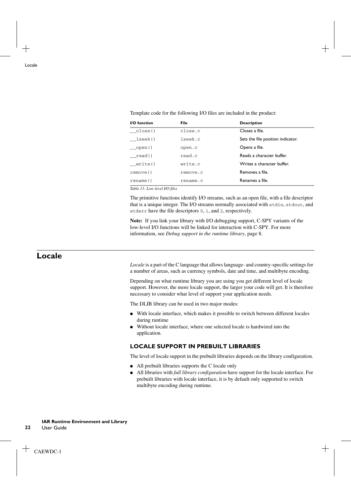| I/O function | File     | <b>Description</b>                |
|--------------|----------|-----------------------------------|
| close()      | close.c  | Closes a file.                    |
| lseek()      | lseek.c  | Sets the file position indicator. |
| $\_\_open()$ | open.c   | Opens a file.                     |
| read()       | read.c   | Reads a character buffer.         |
| write()      | write.c  | Writes a character buffer.        |
| remove()     | remove.c | Removes a file.                   |
| rename()     | rename.c | Renames a file.                   |

Template code for the following I/O files are included in the product:

<span id="page-31-2"></span>*Table 11: Low-level I/O files* 

The primitive functions identify I/O streams, such as an open file, with a file descriptor that is a unique integer. The I/O streams normally associated with stdin, stdout, and stderr have the file descriptors 0, 1, and 2, respectively.

**Note:** If you link your library with I/O debugging support, C-SPY variants of the low-level I/O functions will be linked for interaction with C-SPY. For more information, see *[Debug support in the runtime library](#page-17-0)*, page 8.

## <span id="page-31-0"></span>**Locale**

*Locale* is a part of the C language that allows language- and country-specific settings for a number of areas, such as currency symbols, date and time, and multibyte encoding.

Depending on what runtime library you are using you get different level of locale support. However, the more locale support, the larger your code will get. It is therefore necessary to consider what level of support your application needs.

The DLIB library can be used in two major modes:

- With locale interface, which makes it possible to switch between different locales during runtime
- Without locale interface, where one selected locale is hardwired into the application.

## <span id="page-31-1"></span>**LOCALE SUPPORT IN PREBUILT LIBRARIES**

The level of locale support in the prebuilt libraries depends on the library configuration.

- All prebuilt libraries supports the C locale only
- All libraries with *full library configuration* have support for the locale interface. For prebuilt libraries with locale interface, it is by default only supported to switch multibyte encoding during runtime.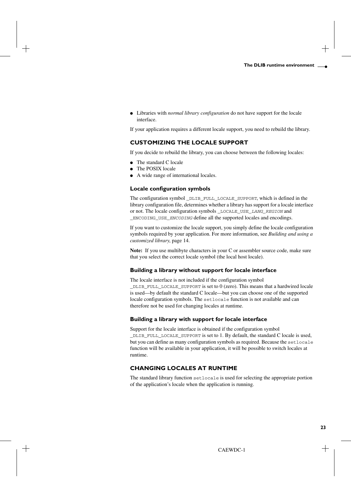● Libraries with *normal library configuration* do not have support for the locale interface.

If your application requires a different locale support, you need to rebuild the library.

## <span id="page-32-0"></span>**CUSTOMIZING THE LOCALE SUPPORT**

If you decide to rebuild the library, you can choose between the following locales:

- The standard C locale
- The POSIX locale
- A wide range of international locales.

#### **Locale configuration symbols**

The configuration symbol \_DLIB\_FULL\_LOCALE\_SUPPORT, which is defined in the library configuration file, determines whether a library has support for a locale interface or not. The locale configuration symbols \_LOCALE\_USE\_*LANG\_REGION* and ENCODING USE *ENCODING* define all the supported locales and encodings.

If you want to customize the locale support, you simply define the locale configuration symbols required by your application. For more information, see *[Building and using a](#page-23-0)  [customized library](#page-23-0)*, page 14.

**Note:** If you use multibyte characters in your C or assembler source code, make sure that you select the correct locale symbol (the local host locale).

### **Building a library without support for locale interface**

The locale interface is not included if the configuration symbol  $L$ DLIB\_FULL\_LOCALE\_SUPPORT is set to 0 (zero). This means that a hardwired locale is used—by default the standard C locale—but you can choose one of the supported locale configuration symbols. The setlocale function is not available and can therefore not be used for changing locales at runtime.

#### **Building a library with support for locale interface**

Support for the locale interface is obtained if the configuration symbol \_DLIB\_FULL\_LOCALE\_SUPPORT is set to 1. By default, the standard C locale is used, but you can define as many configuration symbols as required. Because the setlocale function will be available in your application, it will be possible to switch locales at runtime.

### <span id="page-32-1"></span>**CHANGING LOCALES AT RUNTIME**

The standard library function setlocale is used for selecting the appropriate portion of the application's locale when the application is running.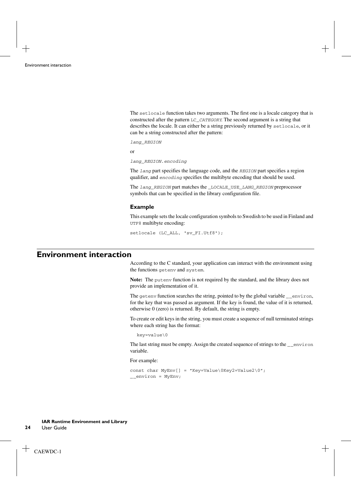The setlocale function takes two arguments. The first one is a locale category that is constructed after the pattern LC\_*CATEGORY*. The second argument is a string that describes the locale. It can either be a string previously returned by setlocale, or it can be a string constructed after the pattern:

*lang\_REGION*

or

*lang\_REGION.encoding*

The *lang* part specifies the language code, and the *REGION* part specifies a region qualifier, and *encoding* specifies the multibyte encoding that should be used.

The *lang\_REGION* part matches the \_LOCALE\_USE\_*LANG*\_*REGION* preprocessor symbols that can be specified in the library configuration file.

#### **Example**

This example sets the locale configuration symbols to Swedish to be used in Finland and UTF8 multibyte encoding:

setlocale (LC\_ALL, "sv\_FI.Utf8");

# <span id="page-33-0"></span>**Environment interaction**

According to the C standard, your application can interact with the environment using the functions getenv and system.

**Note:** The putenv function is not required by the standard, and the library does not provide an implementation of it.

The getenv function searches the string, pointed to by the global variable \_\_environ, for the key that was passed as argument. If the key is found, the value of it is returned, otherwise 0 (zero) is returned. By default, the string is empty.

To create or edit keys in the string, you must create a sequence of null terminated strings where each string has the format:

```
key=value\0
```
The last string must be empty. Assign the created sequence of strings to the serviron variable.

For example:

```
const char MyEnv[] = "Key=Value\0Key2=Value2\0";
__environ = MyEnv;
```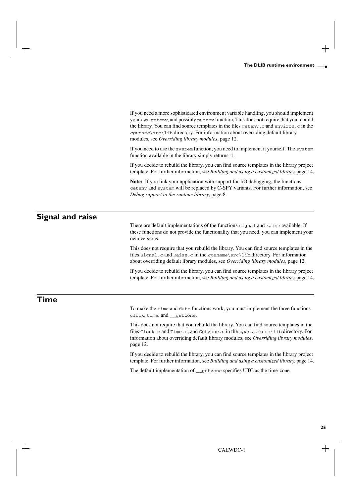If you need a more sophisticated environment variable handling, you should implement your own getenv, and possibly putenv function. This does not require that you rebuild the library. You can find source templates in the files getenv.c and environ.c in the *cpuname*\src\lib directory. For information about overriding default library modules, see *[Overriding library modules](#page-21-0)*, page 12.

If you need to use the system function, you need to implement it yourself. The system function available in the library simply returns -1.

If you decide to rebuild the library, you can find source templates in the library project template. For further information, see *[Building and using a customized library](#page-23-0)*, page 14.

**Note:** If you link your application with support for I/O debugging, the functions getenv and system will be replaced by C-SPY variants. For further information, see *[Debug support in the runtime library](#page-17-0)*, page 8.

# <span id="page-34-0"></span>**Signal and raise**

There are default implementations of the functions signal and raise available. If these functions do not provide the functionality that you need, you can implement your own versions.

This does not require that you rebuild the library. You can find source templates in the files Signal.c and Raise.c in the *cpuname*\src\lib directory. For information about overriding default library modules, see *[Overriding library modules](#page-21-0)*, page 12.

If you decide to rebuild the library, you can find source templates in the library project template. For further information, see *[Building and using a customized library](#page-23-0)*, page 14.

## <span id="page-34-1"></span>**Time**

To make the time and date functions work, you must implement the three functions clock, time, and \_\_getzone.

This does not require that you rebuild the library. You can find source templates in the files Clock.c and Time.c, and Getzone.c in the *cpuname*\src\lib directory. For information about overriding default library modules, see *[Overriding library modules](#page-21-0)*, [page 12.](#page-21-0)

If you decide to rebuild the library, you can find source templates in the library project template. For further information, see *[Building and using a customized library](#page-23-0)*, page 14.

The default implementation of \_\_getzone specifies UTC as the time-zone.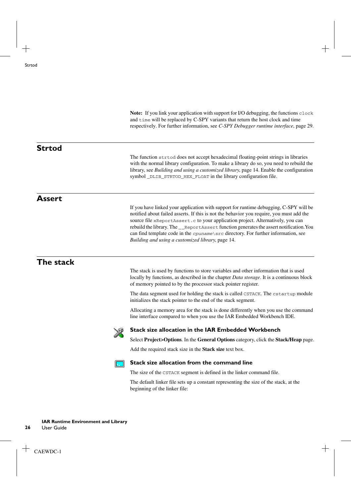**Note:** If you link your application with support for I/O debugging, the functions clock and time will be replaced by C-SPY variants that return the host clock and time respectively. For further information, see *[C-SPY Debugger runtime interface](#page-38-0)*, page 29.

## <span id="page-35-0"></span>**Strtod**

The function strtod does not accept hexadecimal floating-point strings in libraries with the normal library configuration. To make a library do so, you need to rebuild the library, see *[Building and using a customized library](#page-23-0)*, page 14. Enable the configuration symbol DLIB STRTOD HEX FLOAT in the library configuration file.

## <span id="page-35-1"></span>**Assert**

If you have linked your application with support for runtime debugging, C-SPY will be notified about failed asserts. If this is not the behavior you require, you must add the source file xReportAssert.c to your application project. Alternatively, you can rebuild the library. The \_\_ReportAssert function generates the assert notification.You can find template code in the *cpuname*\src directory. For further information, see *[Building and using a customized library](#page-23-0)*, page 14.

## <span id="page-35-3"></span><span id="page-35-2"></span>**The stack**

The stack is used by functions to store variables and other information that is used locally by functions, as described in the chapter *Data storage*. It is a continuous block of memory pointed to by the processor stack pointer register.

The data segment used for holding the stack is called CSTACK. The cstartup module initializes the stack pointer to the end of the stack segment.

Allocating a memory area for the stack is done differently when you use the command line interface compared to when you use the IAR Embedded Workbench IDE.



## **Stack size allocation in the IAR Embedded Workbench**

Select **Project>Options**. In the **General Options** category, click the **Stack/Heap** page.

Add the required stack size in the **Stack size** text box.



#### **Stack size allocation from the command line**

The size of the CSTACK segment is defined in the linker command file.

The default linker file sets up a constant representing the size of the stack, at the beginning of the linker file: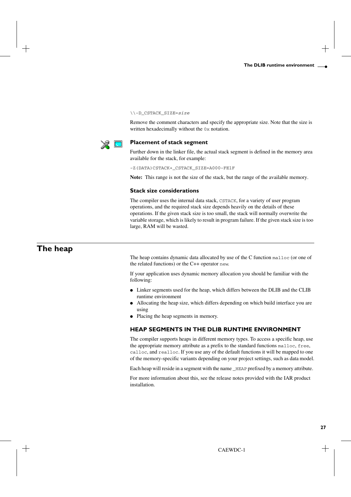\\-D\_CSTACK\_SIZE=*size*

Remove the comment characters and specify the appropriate size. Note that the size is written hexadecimally without the 0x notation.



## **Placement of stack segment**

Further down in the linker file, the actual stack segment is defined in the memory area available for the stack, for example:

-Z(DATA)CSTACK+\_CSTACK\_SIZE=A000-FE1F

**Note:** This range is not the size of the stack, but the range of the available memory.

#### **Stack size considerations**

The compiler uses the internal data stack, CSTACK, for a variety of user program operations, and the required stack size depends heavily on the details of these operations. If the given stack size is too small, the stack will normally overwrite the variable storage, which is likely to result in program failure. If the given stack size is too large, RAM will be wasted.

# **The heap**

The heap contains dynamic data allocated by use of the C function malloc (or one of the related functions) or the C++ operator new.

If your application uses dynamic memory allocation you should be familiar with the following:

- Linker segments used for the heap, which differs between the DLIB and the CLIB runtime environment
- Allocating the heap size, which differs depending on which build interface you are using
- Placing the heap segments in memory.

## **HEAP SEGMENTS IN THE DLIB RUNTIME ENVIRONMENT**

The compiler supports heaps in different memory types. To access a specific heap, use the appropriate memory attribute as a prefix to the standard functions malloc, free, calloc, and realloc. If you use any of the default functions it will be mapped to one of the memory-specific variants depending on your project settings, such as data model.

Each heap will reside in a segment with the name \_HEAP prefixed by a memory attribute.

For more information about this, see the release notes provided with the IAR product installation.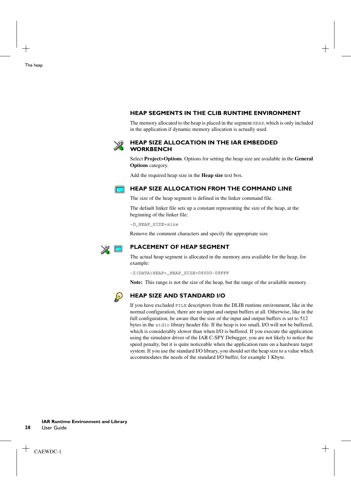# **HEAP SEGMENTS IN THE CLIB RUNTIME ENVIRONMENT**

The memory allocated to the heap is placed in the segment HEAP, which is only included in the application if dynamic memory allocation is actually used.



# **HEAP SIZE ALLOCATION IN THE IAR EMBEDDED WORKBENCH**

Select **Project>Options**. Options for setting the heap size are available in the **General Options** category.

Add the required heap size in the **Heap size** text box.



**HEAP SIZE ALLOCATION FROM THE COMMAND LINE**

The size of the heap segment is defined in the linker command file.

The default linker file sets up a constant representing the size of the heap, at the beginning of the linker file:

-D\_HEAP\_SIZE=*size*

Remove the comment characters and specify the appropriate size.



# **PLACEMENT OF HEAP SEGMENT**

The actual heap segment is allocated in the memory area available for the heap, for example:

-Z(DATA)HEAP+\_HEAP\_SIZE=08000-08FFF

**Note:** This range is not the size of the heap, but the range of the available memory.



## **HEAP SIZE AND STANDARD I/O**

If you have excluded FILE descriptors from the DLIB runtime environment, like in the normal configuration, there are no input and output buffers at all. Otherwise, like in the full configuration, be aware that the size of the input and output buffers is set to 512 bytes in the stdio library header file. If the heap is too small, I/O will not be buffered, which is considerably slower than when I/O is buffered. If you execute the application using the simulator driver of the IAR C-SPY Debugger, you are not likely to notice the speed penalty, but it is quite noticeable when the application runs on a hardware target system. If you use the standard I/O library, you should set the heap size to a value which accommodates the needs of the standard I/O buffer, for example 1 Kbyte.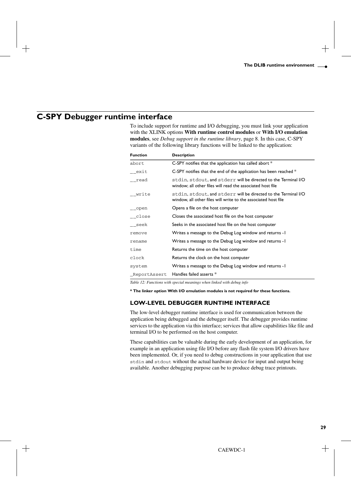# **C-SPY Debugger runtime interface**

To include support for runtime and I/O debugging, you must link your application with the XLINK options **With runtime control modules** or **With I/O emulation modules**, see *[Debug support in the runtime library](#page-17-0)*, page 8. In this case, C-SPY variants of the following library functions will be linked to the application:

| <b>Function</b> | <b>Description</b>                                                                                                               |
|-----------------|----------------------------------------------------------------------------------------------------------------------------------|
| abort.          | C-SPY notifies that the application has called abort *                                                                           |
| exit            | C-SPY notifies that the end of the application has been reached *                                                                |
| read            | stdin, stdout, and stderr will be directed to the Terminal I/O<br>window; all other files will read the associated host file     |
| __write         | stdin, stdout, and stderr will be directed to the Terminal I/O<br>window, all other files will write to the associated host file |
| $\_\_$ open     | Opens a file on the host computer                                                                                                |
| close           | Closes the associated host file on the host computer                                                                             |
| seek            | Seeks in the associated host file on the host computer                                                                           |
| remove          | Writes a message to the Debug Log window and returns - I                                                                         |
| rename          | Writes a message to the Debug Log window and returns -1                                                                          |
| time            | Returns the time on the host computer                                                                                            |
| clock           | Returns the clock on the host computer                                                                                           |
| system          | Writes a message to the Debug Log window and returns -1                                                                          |
| _ReportAssert   | Handles failed asserts *                                                                                                         |

*Table 12: Functions with special meanings when linked with debug info*

**\* The linker option With I/O emulation modules is not required for these functions.**

# **LOW-LEVEL DEBUGGER RUNTIME INTERFACE**

The low-level debugger runtime interface is used for communication between the application being debugged and the debugger itself. The debugger provides runtime services to the application via this interface; services that allow capabilities like file and terminal I/O to be performed on the host computer.

These capabilities can be valuable during the early development of an application, for example in an application using file I/O before any flash file system I/O drivers have been implemented. Or, if you need to debug constructions in your application that use stdin and stdout without the actual hardware device for input and output being available. Another debugging purpose can be to produce debug trace printouts.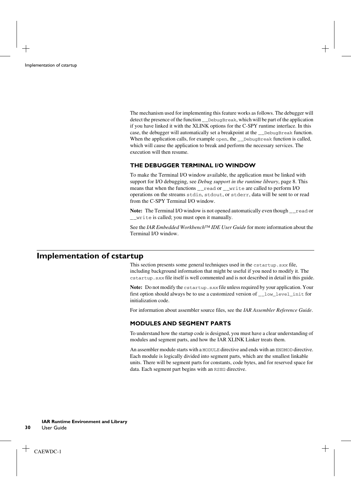The mechanism used for implementing this feature works as follows. The debugger will detect the presence of the function \_\_DebugBreak, which will be part of the application if you have linked it with the XLINK options for the C-SPY runtime interface. In this case, the debugger will automatically set a breakpoint at the \_\_DebugBreak function. When the application calls, for example open, the \_\_DebugBreak function is called, which will cause the application to break and perform the necessary services. The execution will then resume.

# **THE DEBUGGER TERMINAL I/O WINDOW**

To make the Terminal I/O window available, the application must be linked with support for I/O debugging, see *[Debug support in the runtime library](#page-17-0)*, page 8. This means that when the functions read or write are called to perform I/O operations on the streams stdin, stdout, or stderr, data will be sent to or read from the C-SPY Terminal I/O window.

**Note:** The Terminal I/O window is not opened automatically even though \_\_read or \_\_write is called; you must open it manually.

See the *IAR Embedded Workbench™ IDE User Guide* for more information about the Terminal I/O window.

# <span id="page-39-0"></span>**Implementation of cstartup**

This section presents some general techniques used in the cstartup.s*xx* file, including background information that might be useful if you need to modify it. The cstartup.s*xx* file itself is well commented and is not described in detail in this guide.

Note: Do not modify the cstartup.sxx file unless required by your application. Your first option should always be to use a customized version of \_\_low\_level\_init for initialization code.

For information about assembler source files, see the *IAR Assembler Reference Guide*.

# **MODULES AND SEGMENT PARTS**

To understand how the startup code is designed, you must have a clear understanding of modules and segment parts, and how the IAR XLINK Linker treats them.

An assembler module starts with a MODULE directive and ends with an ENDMOD directive. Each module is logically divided into segment parts, which are the smallest linkable units. There will be segment parts for constants, code bytes, and for reserved space for data. Each segment part begins with an RSEG directive.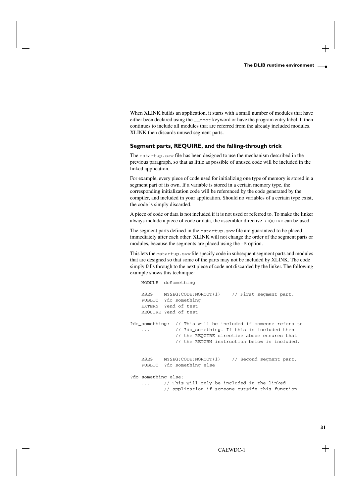When XLINK builds an application, it starts with a small number of modules that have either been declared using the \_\_root keyword or have the program entry label. It then continues to include all modules that are referred from the already included modules. XLINK then discards unused segment parts.

# **Segment parts, REQUIRE, and the falling-through trick**

The cstartup.s*xx* file has been designed to use the mechanism described in the previous paragraph, so that as little as possible of unused code will be included in the linked application.

For example, every piece of code used for initializing one type of memory is stored in a segment part of its own. If a variable is stored in a certain memory type, the corresponding initialization code will be referenced by the code generated by the compiler, and included in your application. Should no variables of a certain type exist, the code is simply discarded.

A piece of code or data is not included if it is not used or referred to. To make the linker always include a piece of code or data, the assembler directive REQUIRE can be used.

The segment parts defined in the cstartup.s*xx* file are guaranteed to be placed immediately after each other. XLINK will not change the order of the segment parts or modules, because the segments are placed using the  $-z$  option.

This lets the cstartup.s*xx* file specify code in subsequent segment parts and modules that are designed so that some of the parts may not be included by XLINK. The code simply falls through to the next piece of code not discarded by the linker. The following example shows this technique:

```
 MODULE doSomething
   RSEG MYSEG: CODE: NOROOT(1) // First segment part.
    PUBLIC ?do_something
    EXTERN ?end_of_test
    REQUIRE ?end_of_test
?do_something: // This will be included if someone refers to
    ... \frac{1}{2} ?do something. If this is included then
                // the REQUIRE directive above ensures that
                // the RETURN instruction below is included.
   RSEG MYSEG: CODE: NOROOT(1) // Second segment part.
   PUBLIC ?do something else
?do_something_else:
     ... // This will only be included in the linked
            // application if someone outside this function
```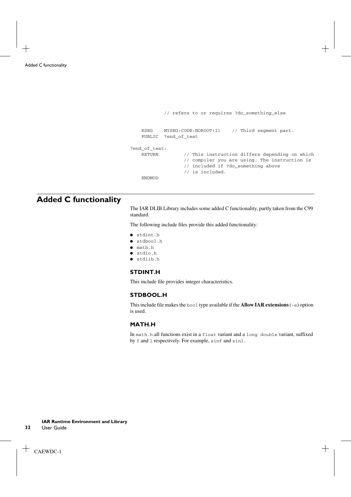```
 // refers to or requires ?do_something_else
   RSEG MYSEG: CODE: NOROOT(1) // Third segment part.
    PUBLIC ?end_of_test
?end of test:
   RETURN // This instruction differs depending on which
                   // compiler you are using. The instruction is
                   // included if ?do_something above
                   // is included.
     ENDMOD
```
# **Added C functionality**

The IAR DLIB Library includes some added C functionality, partly taken from the C99 standard.

The following include files provide this added functionality:

- stdint.h
- stdbool.h
- math.h
- stdio.h
- stdlib.h

# **STDINT.H**

This include file provides integer characteristics.

# **STDBOOL.H**

This include file makes the bool type available if the **Allow IAR extensions** (-e) option is used.

# **MATH.H**

In math.h all functions exist in a float variant and a long double variant, suffixed by f and l respectively. For example, sinf and sinl.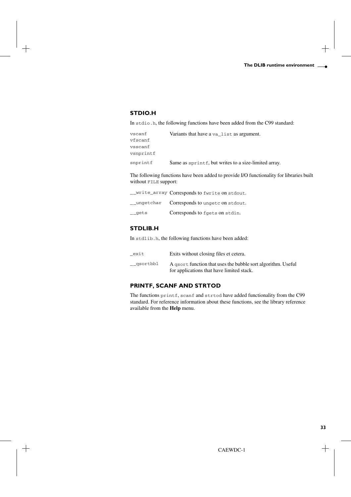# **STDIO.H**

In stdio.h, the following functions have been added from the C99 standard:

| vscanf    | Variants that have a va_list as argument.             |
|-----------|-------------------------------------------------------|
| vfscanf   |                                                       |
| vsscanf   |                                                       |
| vsnprintf |                                                       |
| snprintf  | Same as sprint f, but writes to a size-limited array. |

The following functions have been added to provide I/O functionality for libraries built without FILE support:

|              | __write_array Corresponds to fwrite on stdout. |
|--------------|------------------------------------------------|
| __ungetchar_ | Corresponds to ungetc on stdout.               |
| __gets       | Corresponds to fgets on stdin.                 |

# **STDLIB.H**

In stdlib.h, the following functions have been added:

| _exit       | Exits without closing files et cetera.                                                                     |
|-------------|------------------------------------------------------------------------------------------------------------|
| __qsortbbl_ | A g sort function that uses the bubble sort algorithm. Useful<br>for applications that have limited stack. |

# **PRINTF, SCANF AND STRTOD**

The functions printf, scanf and strtod have added functionality from the C99 standard. For reference information about these functions, see the library reference available from the **Help** menu.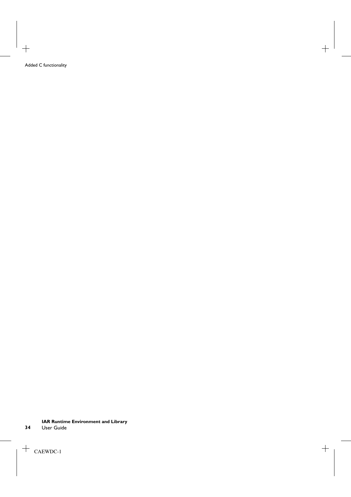Added C functionality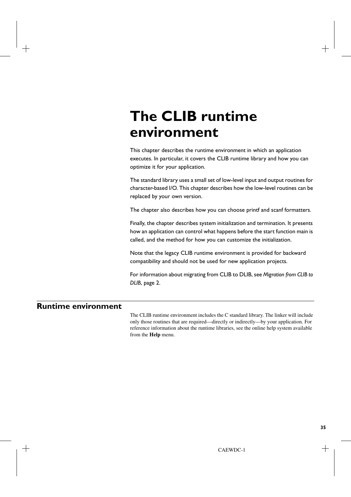# <span id="page-44-0"></span>**The CLIB runtime environment**

This chapter describes the runtime environment in which an application executes. In particular, it covers the CLIB runtime library and how you can optimize it for your application.

The standard library uses a small set of low-level input and output routines for character-based I/O. This chapter describes how the low-level routines can be replaced by your own version.

The chapter also describes how you can choose printf and scanf formatters.

Finally, the chapter describes system initialization and termination. It presents how an application can control what happens before the start function main is called, and the method for how you can customize the initialization.

Note that the legacy CLIB runtime environment is provided for backward compatibility and should not be used for new application projects.

For information about migrating from CLIB to DLIB, see *[Migration from CLIB to](#page-11-0)  DLIB*[, page 2.](#page-11-0)

# **Runtime environment**

The CLIB runtime environment includes the C standard library. The linker will include only those routines that are required—directly or indirectly—by your application. For reference information about the runtime libraries, see the online help system available from the **Help** menu.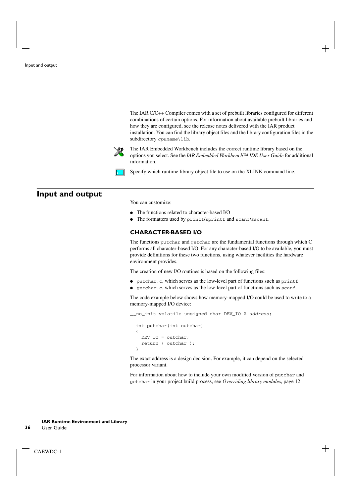The IAR C/C++ Compiler comes with a set of prebuilt libraries configured for different combinations of certain options. For information about available prebuilt libraries and how they are configured, see the release notes delivered with the IAR product installation. You can find the library object files and the library configuration files in the subdirectory *cpuname*\lib.



The IAR Embedded Workbench includes the correct runtime library based on the options you select. See the *IAR Embedded Workbench™ IDE User Guide* for additional information.

Specify which runtime library object file to use on the XLINK command line.

# **Input and output**

You can customize:

- The functions related to character-based I/O
- The formatters used by printf/sprintf and scanf/sscanf.

# **CHARACTER-BASED I/O**

The functions putchar and getchar are the fundamental functions through which  $C$ performs all character-based I/O. For any character-based I/O to be available, you must provide definitions for these two functions, using whatever facilities the hardware environment provides.

The creation of new I/O routines is based on the following files:

- putchar.c, which serves as the low-level part of functions such as printf
- getchar.c, which serves as the low-level part of functions such as scanf.

The code example below shows how memory-mapped I/O could be used to write to a memory-mapped I/O device:

```
__no_init volatile unsigned char DEV_IO @ address;
  int putchar(int outchar)
  {
   DEV IO = outchar; return ( outchar );
  }
```
The exact address is a design decision. For example, it can depend on the selected processor variant.

For information about how to include your own modified version of putchar and getchar in your project build process, see *[Overriding library modules](#page-21-0)*, page 12.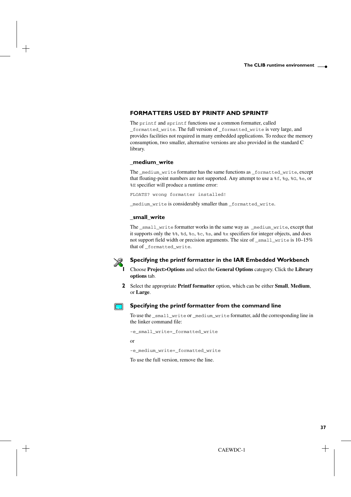# **FORMATTERS USED BY PRINTF AND SPRINTF**

The printf and sprintf functions use a common formatter, called \_formatted\_write. The full version of \_formatted\_write is very large, and provides facilities not required in many embedded applications. To reduce the memory consumption, two smaller, alternative versions are also provided in the standard C library.

## **\_medium\_write**

The \_medium\_write formatter has the same functions as \_formatted\_write, except that floating-point numbers are not supported. Any attempt to use a %f, %g, %G, %e, or %E specifier will produce a runtime error:

FLOATS? wrong formatter installed!

\_medium\_write is considerably smaller than \_formatted\_write.

# **\_small\_write**

The small write formatter works in the same way as \_medium\_write, except that it supports only the  $\frac{1}{6}$ ,  $\frac{1}{6}$ ,  $\frac{1}{6}$ ,  $\frac{1}{6}$ ,  $\frac{1}{6}$ ,  $\frac{1}{6}$ ,  $\frac{1}{6}$ ,  $\frac{1}{6}$ ,  $\frac{1}{6}$ ,  $\frac{1}{6}$ ,  $\frac{1}{6}$ ,  $\frac{1}{6}$ ,  $\frac{1}{6}$ ,  $\frac{1}{6}$ ,  $\frac{1}{6}$ ,  $\frac{1}{6}$ ,  $\frac{1}{6}$ ,  $\frac{1}{6}$ ,  $\$ not support field width or precision arguments. The size of  $\text{\textendash}$  small\_write is 10–15% that of formatted write.



## **Specifying the printf formatter in the IAR Embedded Workbench**

**1** Choose **Project>Options** and select the **General Options** category. Click the **Library options** tab.

**2** Select the appropriate **Printf formatter** option, which can be either **Small**, **Medium**, or **Large**.



## **Specifying the printf formatter from the command line**

To use the small write or medium write formatter, add the corresponding line in the linker command file:

```
-e_small_write=_formatted_write
```
or

-e\_medium\_write=\_formatted\_write

To use the full version, remove the line.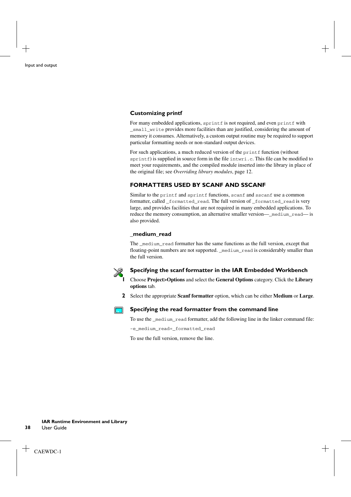# **Customizing printf**

For many embedded applications, sprintf is not required, and even printf with \_small\_write provides more facilities than are justified, considering the amount of memory it consumes. Alternatively, a custom output routine may be required to support particular formatting needs or non-standard output devices.

For such applications, a much reduced version of the  $\text{print}$  function (without sprintf) is supplied in source form in the file intwri.c. This file can be modified to meet your requirements, and the compiled module inserted into the library in place of the original file; see *[Overriding library modules](#page-21-0)*, page 12.

# **FORMATTERS USED BY SCANF AND SSCANF**

Similar to the printf and sprintf functions, scanf and sscanf use a common formatter, called \_formatted\_read. The full version of \_formatted\_read is very large, and provides facilities that are not required in many embedded applications. To reduce the memory consumption, an alternative smaller version— medium read— is also provided.

# **\_medium\_read**

The medium read formatter has the same functions as the full version, except that floating-point numbers are not supported. \_medium\_read is considerably smaller than the full version.



# **Specifying the scanf formatter in the IAR Embedded Workbench**

**1** Choose **Project>Options** and select the **General Options** category. Click the **Library options** tab.

**2** Select the appropriate **Scanf formatter** option, which can be either **Medium** or **Large**.



# **Specifying the read formatter from the command line**

To use the \_medium\_read formatter, add the following line in the linker command file:

-e\_medium\_read=\_formatted\_read

To use the full version, remove the line.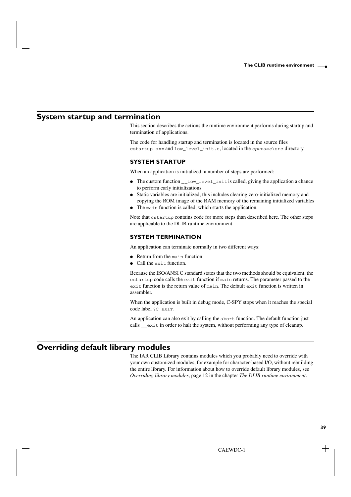# **System startup and termination**

This section describes the actions the runtime environment performs during startup and termination of applications.

The code for handling startup and termination is located in the source files cstartup.s*xx* and low\_level\_init.c, located in the *cpuname*\src directory.

## **SYSTEM STARTUP**

When an application is initialized, a number of steps are performed:

- The custom function \_\_low\_level\_init is called, giving the application a chance to perform early initializations
- Static variables are initialized; this includes clearing zero-initialized memory and copying the ROM image of the RAM memory of the remaining initialized variables
- The main function is called, which starts the application.

Note that cstartup contains code for more steps than described here. The other steps are applicable to the DLIB runtime environment.

# **SYSTEM TERMINATION**

An application can terminate normally in two different ways:

- Return from the main function
- $\bullet$  Call the exit function.

Because the ISO/ANSI C standard states that the two methods should be equivalent, the cstartup code calls the exit function if main returns. The parameter passed to the exit function is the return value of main. The default exit function is written in assembler.

When the application is built in debug mode, C-SPY stops when it reaches the special code label ?C\_EXIT.

An application can also exit by calling the abort function. The default function just calls \_\_exit in order to halt the system, without performing any type of cleanup.

# **Overriding default library modules**

The IAR CLIB Library contains modules which you probably need to override with your own customized modules, for example for character-based I/O, without rebuilding the entire library. For information about how to override default library modules, see *[Overriding library modules](#page-21-0)*, page 12 in the chapter *[The DLIB runtime environment](#page-14-0)*.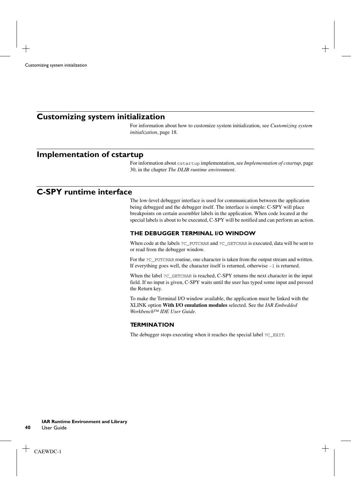# **Customizing system initialization**

For information about how to customize system initialization, see *[Customizing system](#page-27-0)  [initialization](#page-27-0)*, page 18.

# **Implementation of cstartup**

For information about cstartup implementation, see *[Implementation of cstartup](#page-39-0)*, page [30](#page-39-0), in the chapter *[The DLIB runtime environment](#page-14-0)*.

# **C-SPY runtime interface**

The low-level debugger interface is used for communication between the application being debugged and the debugger itself. The interface is simple: C-SPY will place breakpoints on certain assembler labels in the application. When code located at the special labels is about to be executed, C-SPY will be notified and can perform an action.

# **THE DEBUGGER TERMINAL I/O WINDOW**

When code at the labels ?C\_PUTCHAR and ?C\_GETCHAR is executed, data will be sent to or read from the debugger window.

For the ?C\_PUTCHAR routine, one character is taken from the output stream and written. If everything goes well, the character itself is returned, otherwise -1 is returned.

When the label ?C\_GETCHAR is reached, C-SPY returns the next character in the input field. If no input is given, C-SPY waits until the user has typed some input and pressed the Return key.

To make the Terminal I/O window available, the application must be linked with the XLINK option **With I/O emulation modules** selected. See the *IAR Embedded Workbench™ IDE User Guide*.

# **TERMINATION**

The debugger stops executing when it reaches the special label ?C\_EXIT.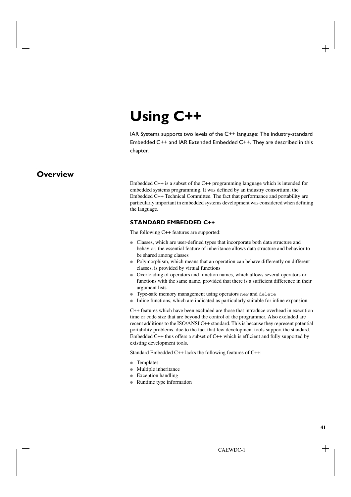# **Using C++**

IAR Systems supports two levels of the C++ language: The industry-standard Embedded C++ and IAR Extended Embedded C++. They are described in this chapter.

# **Overview**

Embedded C++ is a subset of the C++ programming language which is intended for embedded systems programming. It was defined by an industry consortium, the Embedded C++ Technical Committee. The fact that performance and portability are particularly important in embedded systems development was considered when defining the language.

# **STANDARD EMBEDDED C++**

The following C++ features are supported:

- Classes, which are user-defined types that incorporate both data structure and behavior; the essential feature of inheritance allows data structure and behavior to be shared among classes
- Polymorphism, which means that an operation can behave differently on different classes, is provided by virtual functions
- Overloading of operators and function names, which allows several operators or functions with the same name, provided that there is a sufficient difference in their argument lists
- Type-safe memory management using operators new and delete
- Inline functions, which are indicated as particularly suitable for inline expansion.

C++ features which have been excluded are those that introduce overhead in execution time or code size that are beyond the control of the programmer. Also excluded are recent additions to the ISO/ANSI C++ standard. This is because they represent potential portability problems, due to the fact that few development tools support the standard. Embedded C++ thus offers a subset of C++ which is efficient and fully supported by existing development tools.

Standard Embedded C++ lacks the following features of C++:

- Templates
- Multiple inheritance
- Exception handling
- Runtime type information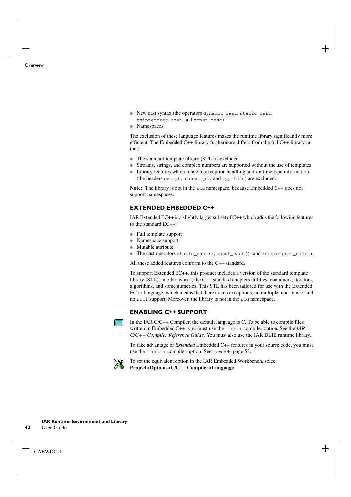● New cast syntax (the operators dynamic\_cast, static\_cast, reinterpret\_cast, and const\_cast)

```
• Namespaces.
```
The exclusion of these language features makes the runtime library significantly more efficient. The Embedded C++ library furthermore differs from the full C++ library in that:

- The standard template library (STL) is excluded
- Streams, strings, and complex numbers are supported without the use of templates
- Library features which relate to exception handling and runtime type information (the headers except, stdexcept, and typeinfo) are excluded.

**Note:** The library is not in the std namespace, because Embedded C++ does not support namespaces.

# <span id="page-51-1"></span><span id="page-51-0"></span>**EXTENDED EMBEDDED C++**

IAR Extended EC++ is a slightly larger subset of C++ which adds the following features to the standard EC++:

- Full template support
- Namespace support
- Mutable attribute
- The cast operators static\_cast(), const\_cast(), and reinterpret\_cast().

All these added features conform to the C++ standard.

To support Extended EC++, this product includes a version of the standard template library (STL), in other words, the C++ standard chapters utilities, containers, iterators, algorithms, and some numerics. This STL has been tailored for use with the Extended EC++ language, which means that there are no exceptions, no multiple inheritance, and no rtti support. Moreover, the library is not in the std namespace.

# **ENABLING C++ SUPPORT**



In the IAR C/C++ Compiler, the default language is C. To be able to compile files written in Embedded C++, you must use the --ec++ compiler option. See the *IAR C/C++ Compiler Reference Guide*. You must also use the IAR DLIB runtime library.

To take advantage of *Extended* Embedded C++ features in your source code, you must use the --eec++ compiler option. See *--eec++*[, page 53](#page-62-0).



To set the equivalent option in the IAR Embedded Workbench, select **Project>Options>C/C++ Compiler>Language**.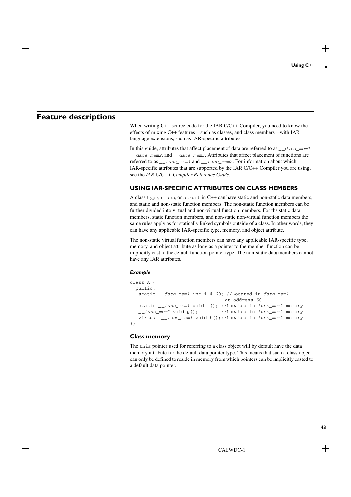# <span id="page-52-0"></span>**Feature descriptions**

When writing C++ source code for the IAR C/C++ Compiler, you need to know the effects of mixing C++ features—such as classes, and class members—with IAR language extensions, such as IAR-specific attributes.

In this guide, attributes that affect placement of data are referred to as *data mem1*, *\_\_data\_mem2*, and *\_\_data\_mem3*. Attributes that affect placement of functions are referred to as *\_\_func\_mem1* and *\_\_func\_mem2*. For information about which IAR-specific attributes that are supported by the IAR C/C++ Compiler you are using, see the *IAR C/C++ Compiler Reference Guide*.

# **USING IAR-SPECIFIC ATTRIBUTES ON CLASS MEMBERS**

A class type, class, or struct in C++ can have static and non-static data members, and static and non-static function members. The non-static function members can be further divided into virtual and non-virtual function members. For the static data members, static function members, and non-static non-virtual function members the same rules apply as for statically linked symbols outside of a class. In other words, they can have any applicable IAR-specific type, memory, and object attribute.

The non-static virtual function members can have any applicable IAR-specific type, memory, and object attribute as long as a pointer to the member function can be implicitly cast to the default function pointer type. The non-static data members cannot have any IAR attributes.

#### *Example*

```
class A {
  public:
    static __data_mem1 int i @ 60; //Located in data_mem1
                                  at address 60
    static __func_mem1 void f(); //Located in func_mem1 memory
    __func_mem1 void g(); //Located in func_mem1 memory
    virtual __func_mem1 void h();//Located in func_mem1 memory
};
```
#### **Class memory**

The this pointer used for referring to a class object will by default have the data memory attribute for the default data pointer type. This means that such a class object can only be defined to reside in memory from which pointers can be implicitly casted to a default data pointer.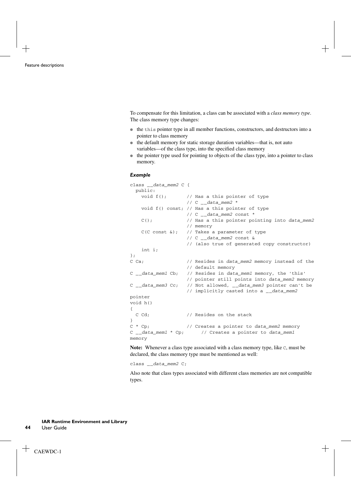To compensate for this limitation, a class can be associated with a *class memory type*. The class memory type changes:

- $\bullet$  the this pointer type in all member functions, constructors, and destructors into a pointer to class memory
- the default memory for static storage duration variables—that is, not auto variables—of the class type, into the specified class memory
- the pointer type used for pointing to objects of the class type, into a pointer to class memory.

#### *Example*

```
class __data_mem2 C {
  public:
   void f(); // Has a this pointer of type
                    // C __data_mem2 *
    void f() const; // Has a this pointer of type
                    // C __data_mem2 const *
    C(); // Has a this pointer pointing into data_mem2
                    // memory
   C(C \text{ const } \&); // Takes a parameter of type
                    // C __data_mem2 const &
                    // (also true of generated copy constructor)
    int i;
};
C Ca; // Resides in data_mem2 memory instead of the
                    // default memory
C __data_mem1 Cb; // Resides in data_mem1 memory, the 'this'
                    // pointer still points into data_mem2 memory
C __data_mem3 Cc; // Not allowed, __data_mem3 pointer can't be
                    // implicitly casted into a __data_mem2
pointer
void h()
{
 C Cd; \frac{1}{2} // Resides on the stack
}
C * Cp; // Creates a pointer to data_mem2 memory
C __data_mem1 * Cp; // Creates a pointer to data_mem1
memory
```
**Note:** Whenever a class type associated with a class memory type, like C, must be declared, the class memory type must be mentioned as well:

class \_\_*data\_mem2* C;

Also note that class types associated with different class memories are not compatible types.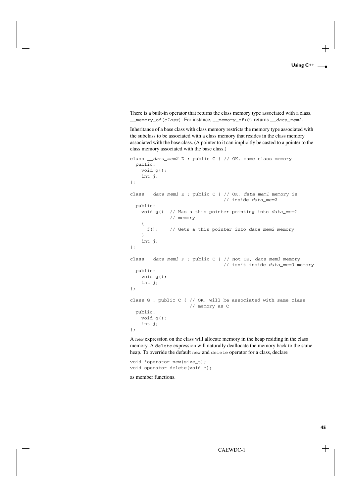There is a built-in operator that returns the class memory type associated with a class, \_\_memory\_of(*class*). For instance, \_\_memory\_of(C) returns \_\_*data\_mem2*.

Inheritance of a base class with class memory restricts the memory type associated with the subclass to be associated with a class memory that resides in the class memory associated with the base class. (A pointer to it can implicitly be casted to a pointer to the class memory associated with the base class.)

```
class __data_mem2 D : public C { // OK, same class memory
  public:
    void g();
     int j;
};
class __data_mem1 E : public C { // OK, data_mem1 memory is
                                   // inside data_mem2
  public:
     void g() // Has a this pointer pointing into data_mem1
               // memory
     {
       f(); // Gets a this pointer into data_mem2 memory
     }
     int j;
};
class __data_mem3 F : public C { // Not OK, data_mem3 memory
                                   // isn't inside data_mem3 memory
  public:
    void g();
     int j;
};
class G : public C { // OK, will be associated with same class
                      // memory as C
  public:
    void g();
     int j;
};
```
A new expression on the class will allocate memory in the heap residing in the class memory. A delete expression will naturally deallocate the memory back to the same heap. To override the default new and delete operator for a class, declare

```
void *operator new(size_t);
void operator delete(void *);
```
as member functions.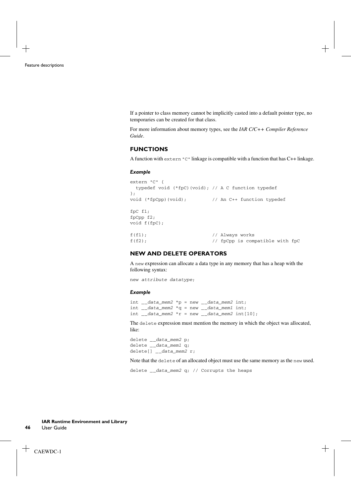If a pointer to class memory cannot be implicitly casted into a default pointer type, no temporaries can be created for that class.

For more information about memory types, see the *IAR C/C++ Compiler Reference Guide*.

## **FUNCTIONS**

A function with extern "C" linkage is compatible with a function that has  $C_{++}$  linkage.

#### *Example*

```
extern "C" {
  typedef void (*fpC)(void); // A C function typedef
};
void (*fpCpp)(void); // An C++ function typedef
fpC f1;
fpCpp f2;
void f(fpC);
f(f1); \frac{1}{2} // Always works
f(f2); // fpCpp is compatible with fpC
```
# **NEW AND DELETE OPERATORS**

A new expression can allocate a data type in any memory that has a heap with the following syntax:

new *attribute datatype*;

#### *Example*

```
int __data_mem2 *p = new __data_mem2 int;
int __data_mem2 *q = new __data_mem1 int;
int \_data\_mem2 *r = new \_data\_mem2 int[10];
```
The delete expression must mention the memory in which the object was allocated, like:

delete \_\_*data\_mem2* p; delete \_\_*data\_mem1* q; delete[] \_\_*data\_mem2* r;

Note that the delete of an allocated object must use the same memory as the new used.

delete \_\_*data\_mem2* q; // Corrupts the heaps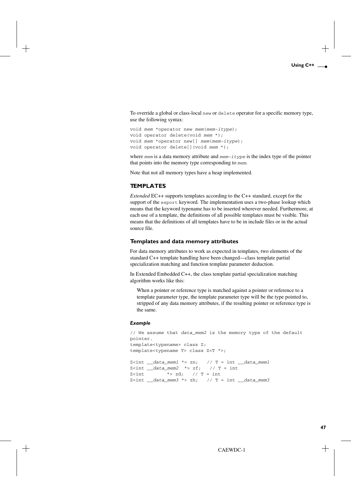To override a global or class-local new or delete operator for a specific memory type, use the following syntax:

```
void mem *operator new mem(mem-itype);
void operator delete(void mem *);
void mem *operator new[] mem(mem-itype);
void operator delete[](void mem *);
```
where *mem* is a data memory attribute and *mem-itype* is the index type of the pointer that points into the memory type corresponding to *mem*.

Note that not all memory types have a heap implemented.

# **TEMPLATES**

*Extended* EC++ supports templates according to the C++ standard, except for the support of the export keyword. The implementation uses a two-phase lookup which means that the keyword typename has to be inserted wherever needed. Furthermore, at each use of a template, the definitions of all possible templates must be visible. This means that the definitions of all templates have to be in include files or in the actual source file.

#### **Templates and data memory attributes**

For data memory attributes to work as expected in templates, two elements of the standard C++ template handling have been changed—class template partial specialization matching and function template parameter deduction.

In Extended Embedded C++, the class template partial specialization matching algorithm works like this:

When a pointer or reference type is matched against a pointer or reference to a template parameter type, the template parameter type will be the type pointed to, stripped of any data memory attributes, if the resulting pointer or reference type is the same.

#### *Example*

```
// We assume that data_mem2 is the memory type of the default 
pointer.
template<typename> class Z;
template<typename T> class Z<T *>;
Z<int __data_mem1 *> zn; // T = int __data_mem1
Z<int \_data\_mem2 *> zf; // T = int
Z < int \star > zd; // T = \text{int}Z<int __data_mem3 *> zh; // T = int __data_mem3
```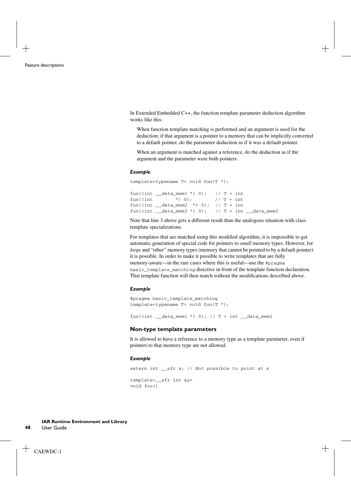In Extended Embedded C++, the function template parameter deduction algorithm works like this:

When function template matching is performed and an argument is used for the deduction; if that argument is a pointer to a memory that can be implicitly converted to a default pointer, do the parameter deduction as if it was a default pointer.

When an argument is matched against a reference, do the deduction as if the argument and the parameter were both pointers.

#### *Example*

```
template<typename T> void fun(T *);
fun((int __data_mem1 *) 0); // T = int
fun((int \star) 0); \frac{1}{T} = int
fun((int __data_mem2 *) 0); // T = int
```
fun((int \_\_*data\_mem3* \*) 0); // T = int \_\_*data\_mem3*

Note that line 3 above gets a different result than the analogous situation with class template specializations.

For templates that are matched using this modified algorithm, it is impossible to get automatic generation of special code for pointers to *small* memory types. However, for *large* and "other" memory types (memory that cannot be pointed to by a default pointer) it is possible. In order to make it possible to write templates that are fully memory-aware—in the rare cases where this is useful—use the #pragma basic\_template\_matching directive in front of the template function declaration. That template function will then match without the modifications described above.

#### *Example*

```
#pragma basic_template_matching
template<typename T> void fun(T *);
fun((int __data_mem1 *) 0); // T = int __data_mem1
```
#### **Non-type template parameters**

It is allowed to have a reference to a memory type as a template parameter, even if pointers to that memory type are not allowed.

#### *Example*

```
extern int \frac{1}{2} sfr x; // Not possible to point at x
template<__sfr int &y>
void foo()
```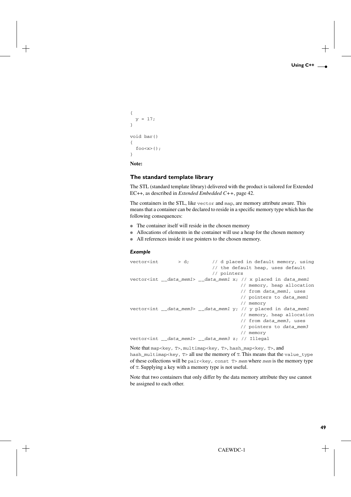```
{ 
  y = 17;\lambdavoid bar() 
{
  foo<x>();
}
```
**Note:**

## **The standard template library**

The STL (standard template library) delivered with the product is tailored for Extended EC++, as described in *[Extended Embedded C++](#page-51-0)*, page 42.

The containers in the STL, like vector and map, are memory attribute aware. This means that a container can be declared to reside in a specific memory type which has the following consequences:

- The container itself will reside in the chosen memory
- Allocations of elements in the container will use a heap for the chosen memory
- All references inside it use pointers to the chosen memory.

#### *Example*

```
vector<int > d; // d placed in default memory, using
                              // the default heap, uses default
                              // pointers
vector<int __data_mem1> __data_mem1 x; // x placed in data_mem1
                                        // memory, heap allocation
                                        // from data_mem1, uses 
                                        // pointers to data_mem1
                                        // memory
vector<int __data_mem3> __data_mem1 y; // y placed in data_mem1
                                        // memory, heap allocation
                                        // from data_mem3, uses
                                        // pointers to data_mem3
                                        // memory
vector<int __data_mem1> __data_mem3 z; // Illegal
```
Note that map<key, T>, multimap<key, T>, hash\_map<key, T>, and hash\_multimap<key, T> all use the memory of T. This means that the value\_type of these collections will be pair<key, const T> *mem* where *mem* is the memory type of T. Supplying a key with a memory type is not useful.

Note that two containers that only differ by the data memory attribute they use cannot be assigned to each other.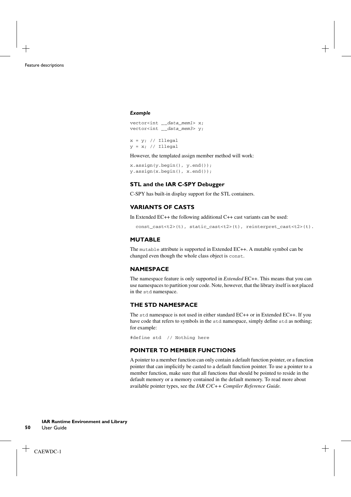#### *Example*

```
vector<int __data_mem1> x;
vector<int __data_mem3> y;
x = y; // Illegal
y = x; // Illegal
```
However, the templated assign member method will work:

```
x.assign(y.begin(), y.end());
y.assign(x.begin(), x.end());
```
# **STL and the IAR C-SPY Debugger**

C-SPY has built-in display support for the STL containers.

## **VARIANTS OF CASTS**

In Extended EC++ the following additional C++ cast variants can be used:

```
const cast<t2>(t), static cast<t2>(t), reinterpret cast<t2>(t).
```
## **MUTABLE**

The mutable attribute is supported in Extended EC++. A mutable symbol can be changed even though the whole class object is const.

#### **NAMESPACE**

The namespace feature is only supported in *Extended* EC++. This means that you can use namespaces to partition your code. Note, however, that the library itself is not placed in the std namespace.

# **THE STD NAMESPACE**

The std namespace is not used in either standard EC++ or in Extended EC++. If you have code that refers to symbols in the std namespace, simply define std as nothing; for example:

#define std // Nothing here

## **POINTER TO MEMBER FUNCTIONS**

A pointer to a member function can only contain a default function pointer, or a function pointer that can implicitly be casted to a default function pointer. To use a pointer to a member function, make sure that all functions that should be pointed to reside in the default memory or a memory contained in the default memory. To read more about available pointer types, see the *IAR C/C++ Compiler Reference Guide.*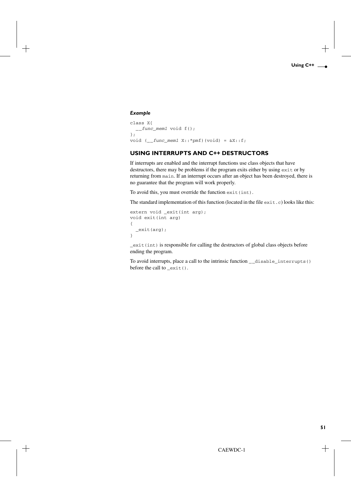#### *Example*

```
class X{
  __func_mem1 void f();
};
void (__func_mem1 X::*pmf)(void) = &X::f;
```
# **USING INTERRUPTS AND C++ DESTRUCTORS**

If interrupts are enabled and the interrupt functions use class objects that have destructors, there may be problems if the program exits either by using exit or by returning from main. If an interrupt occurs after an object has been destroyed, there is no guarantee that the program will work properly.

To avoid this, you must override the function exit(int).

The standard implementation of this function (located in the file  $\epsilon$ xit.c) looks like this:

```
extern void _exit(int arg);
void exit(int arg)
{
   _exit(arg);
}
```
\_exit(int) is responsible for calling the destructors of global class objects before ending the program.

To avoid interrupts, place a call to the intrinsic function \_\_disable\_interrupts() before the call to \_exit().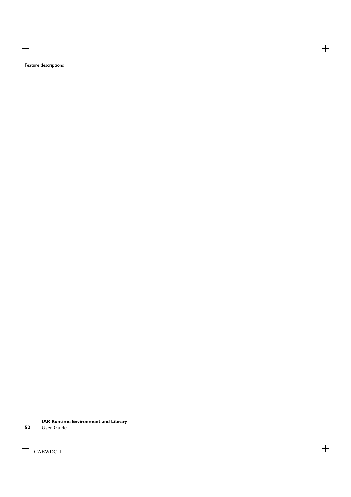Feature descriptions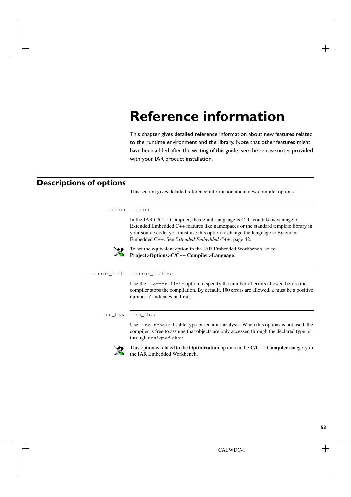# **Reference information**

This chapter gives detailed reference information about new features related to the runtime environment and the library. Note that other features might have been added after the writing of this guide, see the release notes provided with your IAR product installation.

# **Descriptions of options**

This section gives detailed reference information about new compiler options.

<span id="page-62-0"></span>--eec++ --eec++

In the IAR C/C++ Compiler, the default language is C. If you take advantage of Extended Embedded C++ features like namespaces or the standard template library in your source code, you must use this option to change the language to Extended Embedded C++. See *[Extended Embedded C++](#page-51-1)*, page 42.



To set the equivalent option in the IAR Embedded Workbench, select **Project>Options>C/C++ Compiler>Language**.

--error\_limit --error\_limit=*n*

Use the  $--$ error limit option to specify the number of errors allowed before the compiler stops the compilation. By default, 100 errors are allowed. *n* must be a positive number; 0 indicates no limit.

--no\_tbaa --no\_tbaa

Use --no\_tbaa to disable type-based alias analysis. When this options is not used, the compiler is free to assume that objects are only accessed through the declared type or through unsigned char.



This option is related to the **Optimization** options in the **C/C++ Compiler** category in the IAR Embedded Workbench.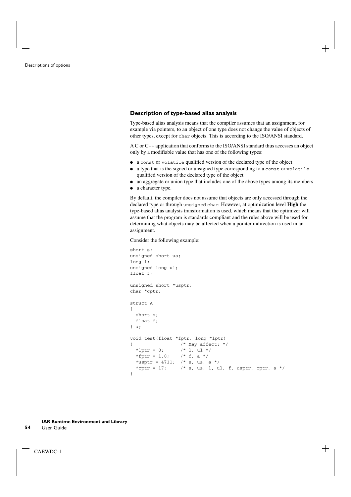#### **Description of type-based alias analysis**

Type-based alias analysis means that the compiler assumes that an assignment, for example via pointers, to an object of one type does not change the value of objects of other types, except for char objects. This is according to the ISO/ANSI standard.

A C or C++ application that conforms to the ISO/ANSI standard thus accesses an object only by a modifiable value that has one of the following types:

- a const or volatile qualified version of the declared type of the object
- a type that is the signed or unsigned type corresponding to a const or volatile qualified version of the declared type of the object
- an aggregate or union type that includes one of the above types among its members
- a character type.

By default, the compiler does not assume that objects are only accessed through the declared type or through unsigned char. However, at optimization level **High** the type-based alias analysis transformation is used, which means that the optimizer will assume that the program is standards compliant and the rules above will be used for determining what objects may be affected when a pointer indirection is used in an assignment.

Consider the following example:

```
short s;
unsigned short us;
long l;
unsigned long ul;
float f;
unsigned short *usptr;
char *cptr;
struct A
{
   short s;
   float f;
} a;
void test(float *fptr, long *lptr)
{ /* May affect: */
 *lptr = 0; /* 1, ul */*fptr = 1.0; /* f, a */*usptr = 4711; /* s, us, a */
 *cptr = 17; \frac{1}{2} /* s, us, 1, ul, f, usptr, cptr, a */
}
```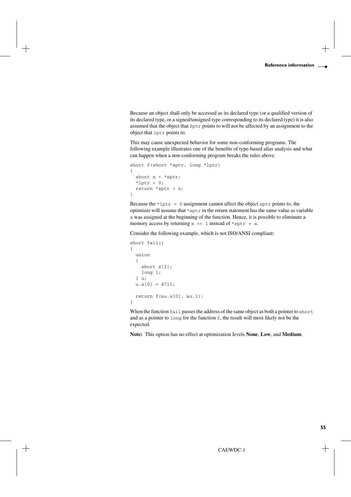Because an object shall only be accessed as its declared type (or a qualified version of its declared type, or a signed/unsigned type corresponding to its declared type) it is also assumed that the object that fptr points to will not be affected by an assignment to the object that lptr points to.

This may cause unexpected behavior for some non-conforming programs. The following example illustrates one of the benefits of type-based alias analysis and what can happen when a non-conforming program breaks the rules above.

```
short f(short *sptr, long *lptr)
{
 short x = *sptr;
 *lptr = 0;
  return *sptr + x;
}
```
Because the  $*1ptr = 0$  assignment cannot affect the object sptr points to, the optimizer will assume that  $*_{SDET}$  in the return statement has the same value as variable x was assigned at the beginning of the function. Hence, it is possible to eliminate a memory access by returning  $x \ll 1$  instead of \*sptr + x.

Consider the following example, which is not ISO/ANSI compliant:

```
short fail()
{
   union
   {
     short s[2];
     long l;
   } u;
  u.s[0] = 4711; return f(&u.s[0], &u.l);
}
```
When the function fail passes the address of the same object as both a pointer to short and as a pointer to long for the function f, the result will most likely not be the expected.

**Note:** This option has no effect at optimization levels **None**, **Low**, and **Medium**.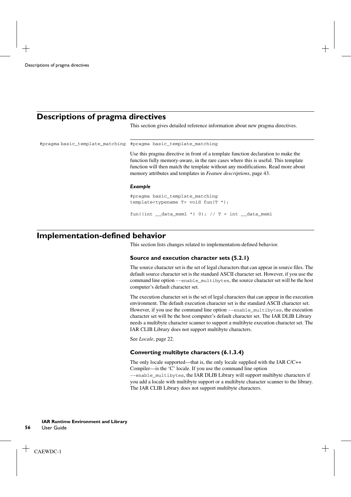# **Descriptions of pragma directives**

This section gives detailed reference information about new pragma directives.

#pragma basic\_template\_matching #pragma basic\_template\_matching

Use this pragma directive in front of a template function declaration to make the function fully memory-aware, in the rare cases where this is useful. This template function will then match the template without any modifications. Read more about memory attributes and templates in *[Feature descriptions](#page-52-0)*, page 43.

#### *Example*

```
#pragma basic_template_matching
template<typename T> void fun(T *);
fun((int data mem1 *) 0); // T = int data mem1
```
# <span id="page-65-0"></span>**Implementation-defined behavior**

This section lists changes related to implementation-defined behavior.

## **Source and execution character sets (5.2.1)**

The source character set is the set of legal characters that can appear in source files. The default source character set is the standard ASCII character set. However, if you use the command line option --enable multibytes, the source character set will be the host computer's default character set.

The execution character set is the set of legal characters that can appear in the execution environment. The default execution character set is the standard ASCII character set. However, if you use the command line option --enable\_multibytes, the execution character set will be the host computer's default character set. The IAR DLIB Library needs a multibyte character scanner to support a multibyte execution character set. The IAR CLIB Library does not support multibyte characters.

See *Locale*[, page 22.](#page-31-0)

#### **Converting multibyte characters (6.1.3.4)**

The only locale supported—that is, the only locale supplied with the IAR C/C++ Compiler—is the 'C' locale. If you use the command line option --enable\_multibytes, the IAR DLIB Library will support multibyte characters if you add a locale with multibyte support or a multibyte character scanner to the library. The IAR CLIB Library does not support multibyte characters.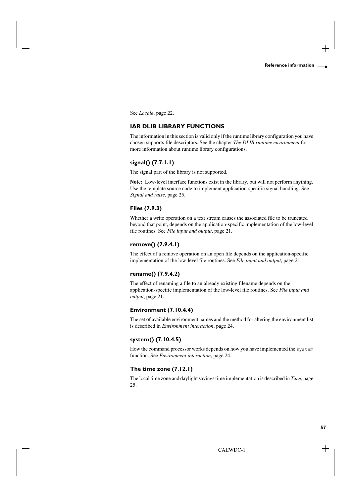See *Locale*[, page 22.](#page-31-0)

## **IAR DLIB LIBRARY FUNCTIONS**

The information in this section is valid only if the runtime library configuration you have chosen supports file descriptors. See the chapter *[The DLIB runtime environment](#page-14-0)* for more information about runtime library configurations.

#### **signal() (7.7.1.1)**

The signal part of the library is not supported.

**Note:** Low-level interface functions exist in the library, but will not perform anything. Use the template source code to implement application-specific signal handling. See *[Signal and raise](#page-34-0)*, page 25.

#### **Files (7.9.3)**

Whether a write operation on a text stream causes the associated file to be truncated beyond that point, depends on the application-specific implementation of the low-level file routines. See *[File input and output](#page-30-0)*, page 21.

# **remove() (7.9.4.1)**

The effect of a remove operation on an open file depends on the application-specific implementation of the low-level file routines. See *[File input and output](#page-30-0)*, page 21.

## **rename() (7.9.4.2)**

The effect of renaming a file to an already existing filename depends on the application-specific implementation of the low-level file routines. See *[File input and](#page-30-0)  output*[, page 21](#page-30-0).

#### **Environment (7.10.4.4)**

The set of available environment names and the method for altering the environment list is described in *[Environment interaction](#page-33-0)*, page 24.

#### **system() (7.10.4.5)**

How the command processor works depends on how you have implemented the system function. See *[Environment interaction](#page-33-0)*, page 24.

#### **The time zone (7.12.1)**

The local time zone and daylight savings time implementation is described in *Time*[, page](#page-34-1)  [25](#page-34-1).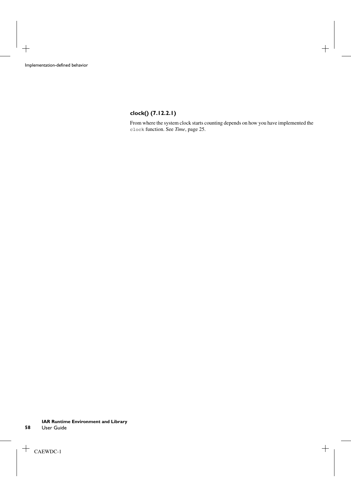# **clock() (7.12.2.1)**

From where the system clock starts counting depends on how you have implemented the clock function. See *Time*[, page 25.](#page-34-1)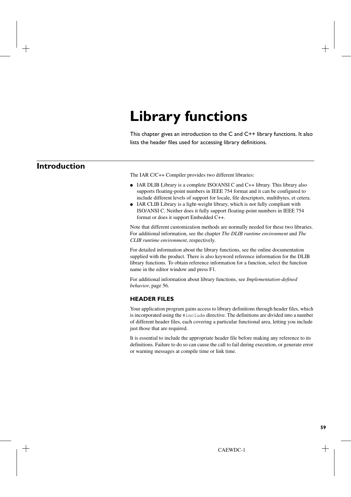# **Library functions**

This chapter gives an introduction to the C and C++ library functions. It also lists the header files used for accessing library definitions.

# **Introduction**

The IAR C/C++ Compiler provides two different libraries:

- IAR DLIB Library is a complete ISO/ANSI C and C++ library. This library also supports floating-point numbers in IEEE 754 format and it can be configured to include different levels of support for locale, file descriptors, multibytes, et cetera.
- IAR CLIB Library is a light-weight library, which is not fully compliant with ISO/ANSI C. Neither does it fully support floating-point numbers in IEEE 754 format or does it support Embedded C++.

Note that different customization methods are normally needed for these two libraries. For additional information, see the chapter *[The DLIB runtime environment](#page-14-0)* and *[The](#page-44-0)  [CLIB runtime environment](#page-44-0)*, respectively.

For detailed information about the library functions, see the online documentation supplied with the product. There is also keyword reference information for the DLIB library functions. To obtain reference information for a function, select the function name in the editor window and press F1.

For additional information about library functions, see *[Implementation-defined](#page-65-0)  behavior*[, page 56.](#page-65-0)

# **HEADER FILES**

Your application program gains access to library definitions through header files, which is incorporated using the #include directive. The definitions are divided into a number of different header files, each covering a particular functional area, letting you include just those that are required.

It is essential to include the appropriate header file before making any reference to its definitions. Failure to do so can cause the call to fail during execution, or generate error or warning messages at compile time or link time.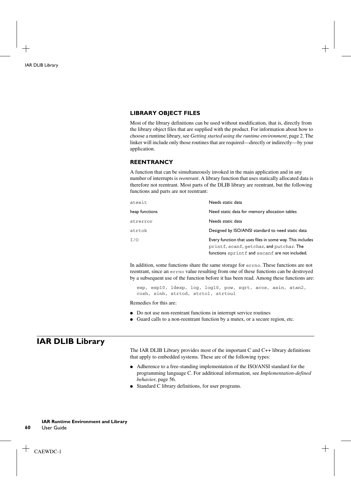## **LIBRARY OBJECT FILES**

Most of the library definitions can be used without modification, that is, directly from the library object files that are supplied with the product. For information about how to choose a runtime library, see *[Getting started using the runtime environment](#page-11-1)*, page 2. The linker will include only those routines that are required—directly or indirectly—by your application.

## **REENTRANCY**

A function that can be simultaneously invoked in the main application and in any number of interrupts is *reentrant*. A library function that uses statically allocated data is therefore not reentrant. Most parts of the DLIB library are reentrant, but the following functions and parts are not reentrant:

| atexit         | Needs static data                                                                                                                                       |
|----------------|---------------------------------------------------------------------------------------------------------------------------------------------------------|
| heap functions | Need static data for memory allocation tables                                                                                                           |
| strerror       | Needs static data                                                                                                                                       |
| strtok         | Designed by ISO/ANSI standard to need static data                                                                                                       |
| I/O            | Every function that uses files in some way. This includes<br>printf, scanf, getchar, and putchar. The<br>functions sprintf and sscanf are not included. |

In addition, some functions share the same storage for errno. These functions are not reentrant, since an errno value resulting from one of these functions can be destroyed by a subsequent use of the function before it has been read. Among these functions are:

exp, exp10, ldexp, log, log10, pow, sqrt, acos, asin, atan2, cosh, sinh, strtod, strtol, strtoul

Remedies for this are:

- Do not use non-reentrant functions in interrupt service routines
- Guard calls to a non-reentrant function by a mutex, or a secure region, etc.

# **IAR DLIB Library**

The IAR DLIB Library provides most of the important C and C++ library definitions that apply to embedded systems. These are of the following types:

- Adherence to a free-standing implementation of the ISO/ANSI standard for the programming language C. For additional information, see *Implementation-defined behavior*, page 56.
- Standard C library definitions, for user programs.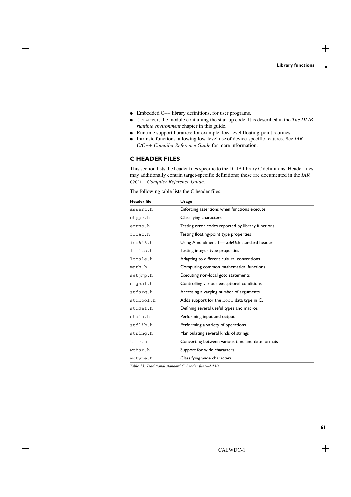- Embedded C++ library definitions, for user programs.
- CSTARTUP, the module containing the start-up code. It is described in the *The DLIB runtime environment* chapter in this guide.
- Runtime support libraries; for example, low-level floating-point routines.
- Intrinsic functions, allowing low-level use of device-specific features. See *IAR C/C++ Compiler Reference Guide* for more information.

## **C HEADER FILES**

This section lists the header files specific to the DLIB library C definitions. Header files may additionally contain target-specific definitions; these are documented in the *IAR C/C++ Compiler Reference Guide*.

| Header file | Usage                                             |
|-------------|---------------------------------------------------|
| assert.h    | Enforcing assertions when functions execute       |
| ctype.h     | Classifying characters                            |
| errno.h     | Testing error codes reported by library functions |
| float.h     | Testing floating-point type properties            |
| iso646.h    | Using Amendment 1-iso646.h standard header        |
| limits.h    | Testing integer type properties                   |
| locale.h    | Adapting to different cultural conventions        |
| math.h      | Computing common mathematical functions           |
| setjmp.h    | Executing non-local goto statements               |
| signal.h    | Controlling various exceptional conditions        |
| stdarg.h    | Accessing a varying number of arguments           |
| stdbool.h   | Adds support for the $bool$ data type in C.       |
| stddef.h    | Defining several useful types and macros          |
| stdio.h     | Performing input and output                       |
| stdlib.h    | Performing a variety of operations                |
| string.h    | Manipulating several kinds of strings             |
| time.h      | Converting between various time and date formats  |
| wchar.h     | Support for wide characters                       |
| wctype.h    | Classifying wide characters                       |

The following table lists the C header files:

*Table 13: Traditional standard C header files—DLIB*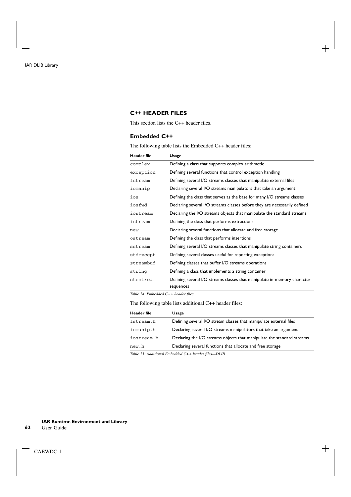# **C++ HEADER FILES**

This section lists the C++ header files.

## **Embedded C++**

The following table lists the Embedded C++ header files:

| <b>Header file</b> | Usage                                                                                 |
|--------------------|---------------------------------------------------------------------------------------|
| complex            | Defining a class that supports complex arithmetic                                     |
| exception          | Defining several functions that control exception handling                            |
| fstream            | Defining several I/O streams classes that manipulate external files                   |
| iomanip            | Declaring several I/O streams manipulators that take an argument                      |
| ios                | Defining the class that serves as the base for many I/O streams classes               |
| iosfwd             | Declaring several I/O streams classes before they are necessarily defined             |
| iostream           | Declaring the I/O streams objects that manipulate the standard streams                |
| istream            | Defining the class that performs extractions                                          |
| new                | Declaring several functions that allocate and free storage                            |
| ostream            | Defining the class that performs insertions                                           |
| sstream            | Defining several I/O streams classes that manipulate string containers                |
| stdexcept          | Defining several classes useful for reporting exceptions                              |
| streambuf          | Defining classes that buffer I/O streams operations                                   |
| string             | Defining a class that implements a string container                                   |
| strstream          | Defining several I/O streams classes that manipulate in-memory character<br>sequences |

*Table 14: Embedded C++ header files* 

The following table lists additional C++ header files:

| Header file | Usage                                                                  |
|-------------|------------------------------------------------------------------------|
| fstream.h   | Defining several I/O stream classes that manipulate external files     |
| iomanip.h   | Declaring several I/O streams manipulators that take an argument       |
| iostream.h  | Declaring the I/O streams objects that manipulate the standard streams |
| new.h       | Declaring several functions that allocate and free storage             |

*Table 15: Additional Embedded C++ header files—DLIB*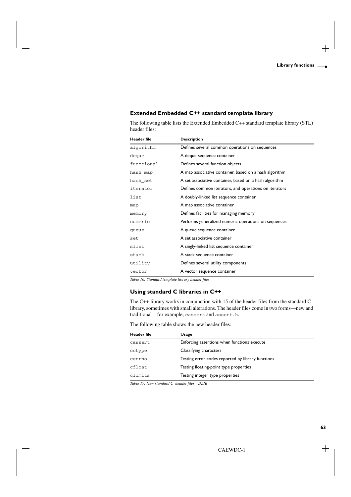#### **Extended Embedded C++ standard template library**

<span id="page-72-7"></span>The following table lists the Extended Embedded C++ standard template library (STL) header files:

<span id="page-72-13"></span><span id="page-72-12"></span><span id="page-72-11"></span><span id="page-72-10"></span><span id="page-72-9"></span><span id="page-72-8"></span><span id="page-72-6"></span><span id="page-72-0"></span>

| <b>Header file</b> | <b>Description</b>                                     |
|--------------------|--------------------------------------------------------|
| algorithm          | Defines several common operations on sequences         |
| deque              | A deque sequence container                             |
| functional         | Defines several function objects                       |
| hash_map           | A map associative container, based on a hash algorithm |
| hash_set           | A set associative container, based on a hash algorithm |
| iterator           | Defines common iterators, and operations on iterators  |
| list               | A doubly-linked list sequence container                |
| map                | A map associative container                            |
| memory             | Defines facilities for managing memory                 |
| numeric            | Performs generalized numeric operations on sequences   |
| queue              | A queue sequence container                             |
| set                | A set associative container                            |
| slist              | A singly-linked list sequence container                |
| stack              | A stack sequence container                             |
| utility            | Defines several utility components                     |
| vector             | A vector sequence container                            |

<span id="page-72-21"></span><span id="page-72-20"></span><span id="page-72-19"></span><span id="page-72-18"></span><span id="page-72-17"></span><span id="page-72-16"></span><span id="page-72-15"></span><span id="page-72-14"></span>*Table 16: Standard template library header files* 

#### **Using standard C libraries in C++**

The C++ library works in conjunction with 15 of the header files from the standard C library, sometimes with small alterations. The header files come in two forms—new and traditional—for example, cassert and assert.h.

The following table shows the new header files:

<span id="page-72-3"></span><span id="page-72-2"></span><span id="page-72-1"></span>

| Header file | Usage                                             |
|-------------|---------------------------------------------------|
| cassert     | Enforcing assertions when functions execute       |
| cctype      | Classifying characters                            |
| cerrno      | Testing error codes reported by library functions |
| cfloat      | Testing floating-point type properties            |
| climits     | Testing integer type properties                   |

<span id="page-72-5"></span><span id="page-72-4"></span>*Table 17: New standard C header files—DLIB*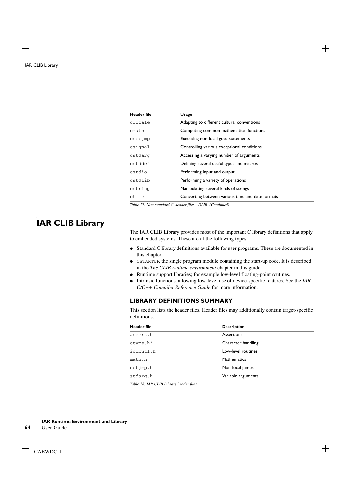<span id="page-73-8"></span><span id="page-73-7"></span><span id="page-73-6"></span><span id="page-73-5"></span><span id="page-73-4"></span><span id="page-73-3"></span><span id="page-73-2"></span>

| Header file | Usage                                                  |
|-------------|--------------------------------------------------------|
| clocale     | Adapting to different cultural conventions             |
| cmath       | Computing common mathematical functions                |
| csetjmp     | Executing non-local goto statements                    |
| csignal     | Controlling various exceptional conditions             |
| cstdarg     | Accessing a varying number of arguments                |
| cstddef     | Defining several useful types and macros               |
| cstdio      | Performing input and output                            |
| cstdlib     | Performing a variety of operations                     |
| cstring     | Manipulating several kinds of strings                  |
| ctime       | Converting between various time and date formats       |
|             | Table 17: New standard C header files—DLIB (Continued) |

#### <span id="page-73-1"></span>**IAR CLIB Library**

<span id="page-73-11"></span><span id="page-73-10"></span><span id="page-73-9"></span>The IAR CLIB Library provides most of the important C library definitions that apply to embedded systems. These are of the following types:

- Standard C library definitions available for user programs. These are documented in this chapter.
- CSTARTUP, the single program module containing the start-up code. It is described in the *The CLIB runtime environment* chapter in this guide.
- Runtime support libraries; for example low-level floating-point routines.
- Intrinsic functions, allowing low-level use of device-specific features. See the *IAR C/C++ Compiler Reference Guide* for more information.

#### **LIBRARY DEFINITIONS SUMMARY**

<span id="page-73-17"></span>This section lists the header files. Header files may additionally contain target-specific definitions.

<span id="page-73-13"></span><span id="page-73-12"></span><span id="page-73-0"></span>

| Header file | <b>Description</b> |
|-------------|--------------------|
| assert.h    | Assertions         |
| $ctype.h*$  | Character handling |
| iccbutl.h   | Low-level routines |
| math.h      | <b>Mathematics</b> |
| setjmp.h    | Non-local jumps    |
| stdarg.h    | Variable arguments |

<span id="page-73-16"></span><span id="page-73-15"></span><span id="page-73-14"></span>*Table 18: IAR CLIB Library header files* 

**64**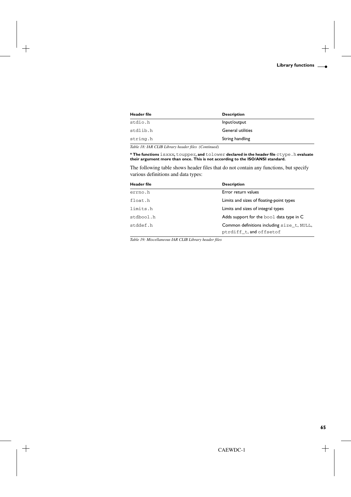<span id="page-74-7"></span><span id="page-74-6"></span>

| Header file | <b>Description</b> |
|-------------|--------------------|
| stdio.h     | Input/output       |
| stdlib.h    | General utilities  |
| string.h    | String handling    |

<span id="page-74-8"></span>*Table 18: IAR CLIB Library header files (Continued)*

**\* The functions** is*xxx***,** toupper**, and** tolower **declared in the header file** ctype.h **evaluate their argument more than once. This is not according to the ISO/ANSI standard.**

The following table shows header files that do not contain any functions, but specify various definitions and data types:

<span id="page-74-3"></span><span id="page-74-2"></span><span id="page-74-1"></span>

| Header file | <b>Description</b>                           |
|-------------|----------------------------------------------|
| errno.h     | Error return values                          |
| float.h     | Limits and sizes of floating-point types     |
| limits.h    | Limits and sizes of integral types           |
| stdbool.h   | Adds support for the $bool$ data type in $C$ |
| stddef.h    | Common definitions including size t, NULL,   |
|             | ptrdiff t, and offsetof                      |

<span id="page-74-12"></span><span id="page-74-11"></span><span id="page-74-10"></span><span id="page-74-9"></span><span id="page-74-5"></span><span id="page-74-4"></span><span id="page-74-0"></span>*Table 19: Miscellaneous IAR CLIB Library header files*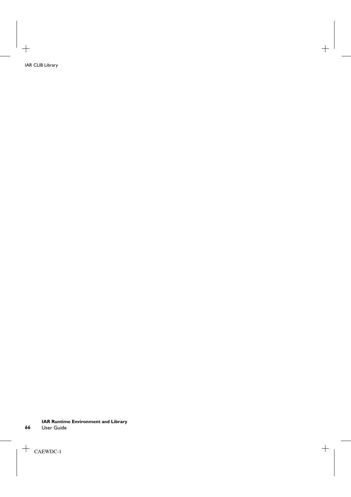IAR CLIB Library

**66**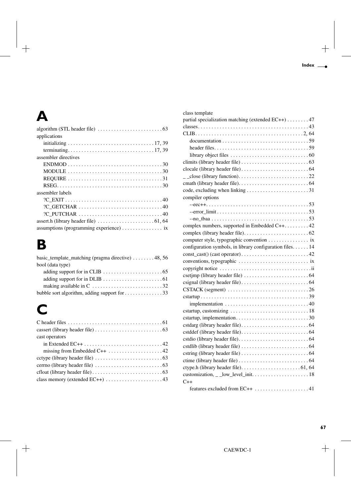$\bullet$ 

#### **A**

| applications                                                                              |
|-------------------------------------------------------------------------------------------|
|                                                                                           |
|                                                                                           |
| assembler directives                                                                      |
| $ENDMOD \ldots \ldots \ldots \ldots \ldots \ldots \ldots \ldots \ldots \ldots 30$         |
| MODULE $\ldots \ldots \ldots \ldots \ldots \ldots \ldots \ldots \ldots \ldots 30$         |
|                                                                                           |
|                                                                                           |
| assembler labels                                                                          |
|                                                                                           |
|                                                                                           |
| ?C_PUTCHAR $\ldots \ldots \ldots \ldots \ldots \ldots \ldots \ldots \ldots \ldots \ldots$ |
|                                                                                           |
| assumptions (programming experience) ix                                                   |

#### **B**

| basic_template_matching (pragma directive) $\dots \dots 48,56$               |  |
|------------------------------------------------------------------------------|--|
| bool (data type)                                                             |  |
|                                                                              |  |
|                                                                              |  |
| making available in $C \ldots \ldots \ldots \ldots \ldots \ldots \ldots 32$  |  |
| bubble sort algorithm, adding support for $\dots \dots \dots \dots \dots$ 33 |  |

### **C**

| class template                                                                                       |
|------------------------------------------------------------------------------------------------------|
| partial specialization matching (extended $EC++$ )47                                                 |
|                                                                                                      |
|                                                                                                      |
| $documentation \ldots \ldots \ldots \ldots \ldots \ldots \ldots \ldots \ldots \ldots 59$             |
|                                                                                                      |
| library object files $\ldots \ldots \ldots \ldots \ldots \ldots \ldots \ldots \ldots \ldots$         |
|                                                                                                      |
|                                                                                                      |
|                                                                                                      |
|                                                                                                      |
|                                                                                                      |
| compiler options                                                                                     |
|                                                                                                      |
|                                                                                                      |
|                                                                                                      |
| complex numbers, supported in Embedded $C++$ 42                                                      |
|                                                                                                      |
|                                                                                                      |
| configuration symbols, in library configuration files. 14                                            |
|                                                                                                      |
|                                                                                                      |
|                                                                                                      |
|                                                                                                      |
|                                                                                                      |
| $CSTACK$ (segment) $\ldots \ldots \ldots \ldots \ldots \ldots \ldots \ldots \ldots \ldots \ldots$    |
|                                                                                                      |
|                                                                                                      |
| $\text{cstartup}, \text{customizing} \dots \dots \dots \dots \dots \dots \dots \dots \dots \dots 18$ |
| cstartup, implementation30                                                                           |
|                                                                                                      |
|                                                                                                      |
|                                                                                                      |
|                                                                                                      |
|                                                                                                      |
|                                                                                                      |
|                                                                                                      |
|                                                                                                      |
| $C++$                                                                                                |
| features excluded from EC++ 41                                                                       |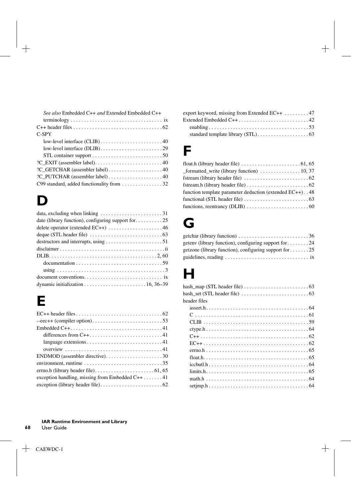| See also Embedded C++ and Extended Embedded C++ |
|-------------------------------------------------|
|                                                 |
|                                                 |
| $C-SPY$                                         |
|                                                 |
|                                                 |
|                                                 |
|                                                 |
|                                                 |
|                                                 |
| C99 standard, added functionality from 32       |

## **D**

| data, excluding when linking $\dots \dots \dots \dots \dots \dots \dots \dots \dots$        |
|---------------------------------------------------------------------------------------------|
| date (library function), configuring support for $\dots \dots \dots 25$                     |
| delete operator (extended EC++) 46                                                          |
| deque (STL header file) $\ldots \ldots \ldots \ldots \ldots \ldots \ldots \ldots \ldots$ 63 |
| destructors and interrupts, using $\dots \dots \dots \dots \dots \dots \dots 51$            |
|                                                                                             |
|                                                                                             |
| $documentation \ldots \ldots \ldots \ldots \ldots \ldots \ldots \ldots \ldots \ldots 59$    |
|                                                                                             |
|                                                                                             |
|                                                                                             |

### **E**

**68**

| overview $\dots \dots \dots \dots \dots \dots \dots \dots \dots \dots \dots \dots 41$       |
|---------------------------------------------------------------------------------------------|
|                                                                                             |
| environment, runtime $\dots \dots \dots \dots \dots \dots \dots \dots \dots \dots \dots 35$ |
|                                                                                             |
| exception handling, missing from Embedded C++ 41                                            |
|                                                                                             |

| export keyword, missing from Extended EC++ $\dots \dots \dots$ |  |
|----------------------------------------------------------------|--|
|                                                                |  |
|                                                                |  |
|                                                                |  |

#### **F**

| _formatted_write (library function) $\dots \dots \dots \dots \dots \dots 10, 37$ |
|----------------------------------------------------------------------------------|
|                                                                                  |
|                                                                                  |
| function template parameter deduction (extended $EC++$ ). 48                     |
|                                                                                  |
|                                                                                  |
|                                                                                  |

#### **G**

| getchar (library function) $\ldots \ldots \ldots \ldots \ldots \ldots \ldots \ldots \ldots$ |  |
|---------------------------------------------------------------------------------------------|--|
| getenv (library function), configuring support for 24                                       |  |
| getzone (library function), configuring support for $\dots \dots 25$                        |  |
|                                                                                             |  |

## **H**

| header files |
|--------------|
|              |
|              |
|              |
|              |
|              |
|              |
|              |
|              |
|              |
|              |
|              |
|              |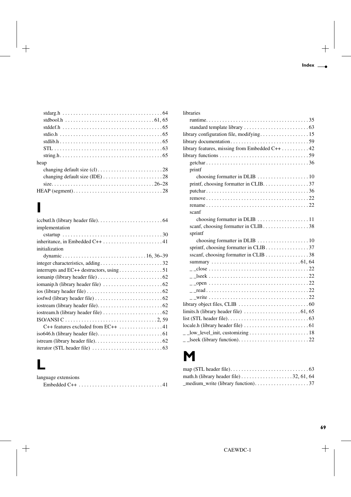$\bullet$ 

| heap |
|------|
|      |
|      |
|      |
|      |

### **I**

#### **L**

language extensions

| libraries                                                                                                 |  |
|-----------------------------------------------------------------------------------------------------------|--|
|                                                                                                           |  |
|                                                                                                           |  |
| library configuration file, modifying15                                                                   |  |
|                                                                                                           |  |
| library features, missing from Embedded C++ 42                                                            |  |
|                                                                                                           |  |
|                                                                                                           |  |
| printf                                                                                                    |  |
| choosing formatter in DLIB $\ldots \ldots \ldots \ldots \ldots \ldots 10$                                 |  |
|                                                                                                           |  |
|                                                                                                           |  |
|                                                                                                           |  |
|                                                                                                           |  |
| scanf                                                                                                     |  |
|                                                                                                           |  |
| scanf, choosing formatter in CLIB38                                                                       |  |
| sprintf                                                                                                   |  |
|                                                                                                           |  |
| sprintf, choosing formatter in CLIB37                                                                     |  |
| sscanf, choosing formatter in CLIB 38                                                                     |  |
|                                                                                                           |  |
|                                                                                                           |  |
|                                                                                                           |  |
|                                                                                                           |  |
|                                                                                                           |  |
|                                                                                                           |  |
| library object files, CLIB $\ldots \ldots \ldots \ldots \ldots \ldots \ldots \ldots \ldots \ldots$        |  |
|                                                                                                           |  |
| list (STL header file). $\ldots \ldots \ldots \ldots \ldots \ldots \ldots \ldots \ldots \ldots \ldots$ 63 |  |
|                                                                                                           |  |
|                                                                                                           |  |
|                                                                                                           |  |
|                                                                                                           |  |

### **M**

| math.h (library header file) $\ldots \ldots \ldots \ldots \ldots \ldots$ 32, 61, 64 |  |
|-------------------------------------------------------------------------------------|--|
|                                                                                     |  |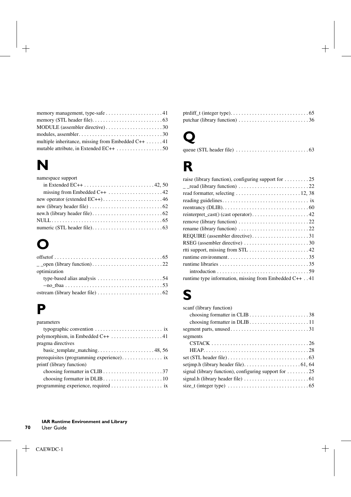| multiple inheritance, missing from Embedded $C++$ 41 |  |
|------------------------------------------------------|--|
|                                                      |  |

## **N**

namespace support

| in Extended EC++ $\dots\dots\dots\dots\dots\dots\dots\dots\dots$ 42, 50  |
|--------------------------------------------------------------------------|
| missing from Embedded C++ $\dots \dots \dots \dots \dots \dots \dots 42$ |
|                                                                          |
|                                                                          |
|                                                                          |
|                                                                          |
|                                                                          |
|                                                                          |

## **O**

| optimization |  |
|--------------|--|
|              |  |
|              |  |
|              |  |

#### **P**

**70**

#### parameters

| typographic convention $\dots \dots \dots \dots \dots \dots \dots \dots$ ix |
|-----------------------------------------------------------------------------|
|                                                                             |
| pragma directives                                                           |
| $basic$ _template_matching48,56                                             |
|                                                                             |
| printf (library function)                                                   |
|                                                                             |
|                                                                             |
|                                                                             |

# **Q**

| queue (STL header file) $\ldots \ldots \ldots \ldots \ldots \ldots \ldots \ldots \ldots$ |  |  |  |  |  |  |  |  |  |  |  |  |
|------------------------------------------------------------------------------------------|--|--|--|--|--|--|--|--|--|--|--|--|
|------------------------------------------------------------------------------------------|--|--|--|--|--|--|--|--|--|--|--|--|

## **R**

| raise (library function), configuring support for $\dots \dots \dots 25$                              |
|-------------------------------------------------------------------------------------------------------|
|                                                                                                       |
|                                                                                                       |
|                                                                                                       |
|                                                                                                       |
|                                                                                                       |
|                                                                                                       |
|                                                                                                       |
| REQUIRE (assembler directive)31                                                                       |
|                                                                                                       |
|                                                                                                       |
|                                                                                                       |
|                                                                                                       |
| $introduction \dots \dots \dots \dots \dots \dots \dots \dots \dots \dots \dots \dots \dots \dots 59$ |
| runtime type information, missing from Embedded $C++ \dots 41$                                        |
|                                                                                                       |

#### **S**

| scanf (library function)                                                  |
|---------------------------------------------------------------------------|
| choosing formatter in CLIB38                                              |
| choosing formatter in DLIB11                                              |
|                                                                           |
| segments                                                                  |
|                                                                           |
|                                                                           |
|                                                                           |
|                                                                           |
| signal (library function), configuring support for $\dots \dots \dots 25$ |
|                                                                           |
|                                                                           |
|                                                                           |